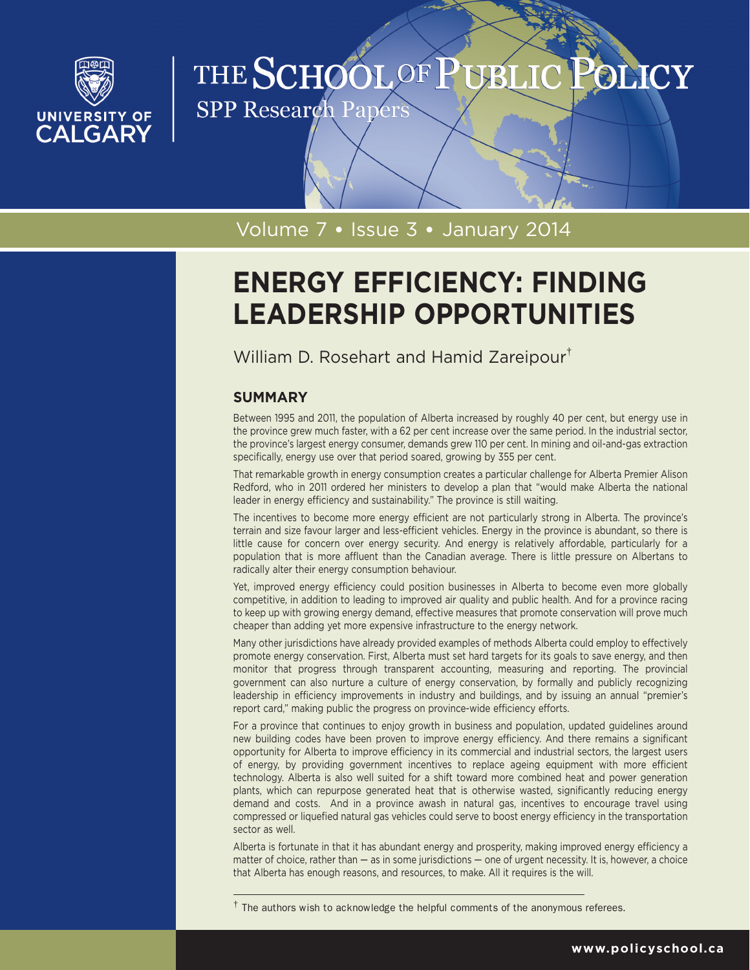

## THE SCHOOL OF P UBLI POLICY

**SPP Research Papers** 

## Volume 7 • Issue 3 • January 2014

# **ENERGY EFFICIENCY: FINDING LEADERSHIP OPPORTUNITIES**

William D. Rosehart and Hamid Zareipour†

## **SUMMARY**

Between 1995 and 2011, the population of Alberta increased by roughly 40 per cent, but energy use in the province grew much faster, with a 62 per cent increase over the same period. In the industrial sector, the province's largest energy consumer, demands grew 110 per cent. In mining and oil-and-gas extraction specifically, energy use over that period soared, growing by 355 per cent.

That remarkable growth in energy consumption creates a particular challenge for Alberta Premier Alison Redford, who in 2011 ordered her ministers to develop a plan that "would make Alberta the national leader in energy efficiency and sustainability." The province is still waiting.

The incentives to become more energy efficient are not particularly strong in Alberta. The province's terrain and size favour larger and less-efficient vehicles. Energy in the province is abundant, so there is little cause for concern over energy security. And energy is relatively affordable, particularly for a population that is more affluent than the Canadian average. There is little pressure on Albertans to radically alter their energy consumption behaviour.

Yet, improved energy efficiency could position businesses in Alberta to become even more globally competitive, in addition to leading to improved air quality and public health. And for a province racing to keep up with growing energy demand, effective measures that promote conservation will prove much cheaper than adding yet more expensive infrastructure to the energy network.

Many other jurisdictions have already provided examples of methods Alberta could employ to effectively promote energy conservation. First, Alberta must set hard targets for its goals to save energy, and then monitor that progress through transparent accounting, measuring and reporting. The provincial government can also nurture a culture of energy conservation, by formally and publicly recognizing leadership in efficiency improvements in industry and buildings, and by issuing an annual "premier's report card," making public the progress on province-wide efficiency efforts.

For a province that continues to enjoy growth in business and population, updated guidelines around new building codes have been proven to improve energy efficiency. And there remains a significant opportunity for Alberta to improve efficiency in its commercial and industrial sectors, the largest users of energy, by providing government incentives to replace ageing equipment with more efficient technology. Alberta is also well suited for a shift toward more combined heat and power generation plants, which can repurpose generated heat that is otherwise wasted, significantly reducing energy demand and costs. And in a province awash in natural gas, incentives to encourage travel using compressed or liquefied natural gas vehicles could serve to boost energy efficiency in the transportation sector as well.

Alberta is fortunate in that it has abundant energy and prosperity, making improved energy efficiency a matter of choice, rather than  $-$  as in some jurisdictions  $-$  one of urgent necessity. It is, however, a choice that Alberta has enough reasons, and resources, to make. All it requires is the will.

 $\dagger$  The authors wish to acknowledge the helpful comments of the anonymous referees.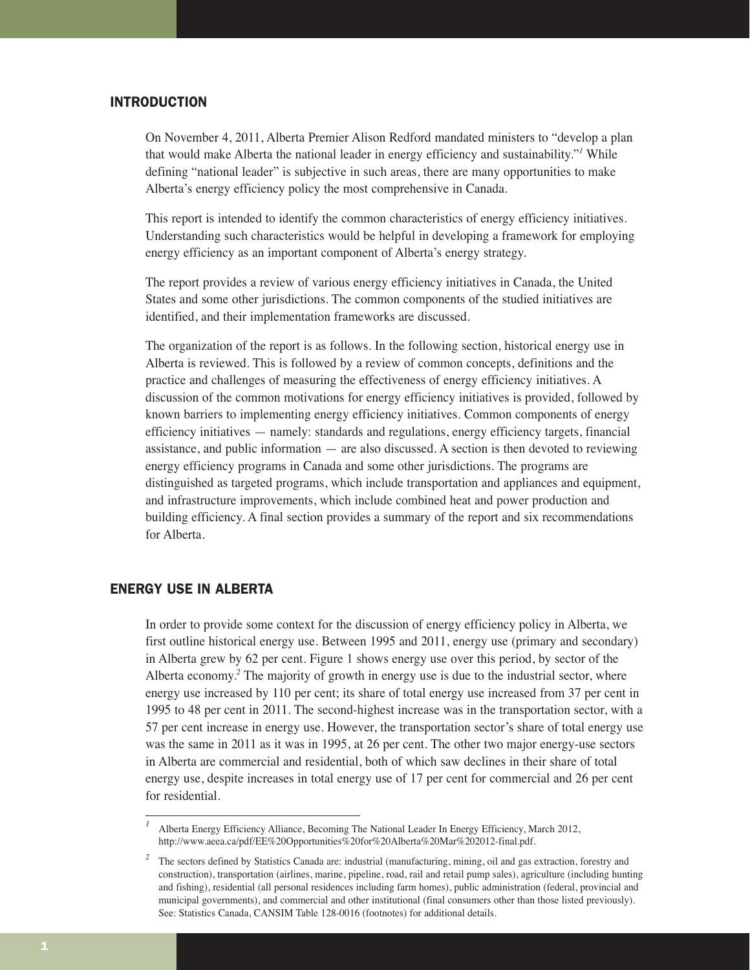## INTRODUCTION

On November 4, 2011, Alberta Premier Alison Redford mandated ministers to "develop a plan that would make Alberta the national leader in energy efficiency and sustainability."*<sup>1</sup>* While defining "national leader" is subjective in such areas, there are many opportunities to make Alberta's energy efficiency policy the most comprehensive in Canada.

This report is intended to identify the common characteristics of energy efficiency initiatives. Understanding such characteristics would be helpful in developing a framework for employing energy efficiency as an important component of Alberta's energy strategy.

The report provides a review of various energy efficiency initiatives in Canada, the United States and some other jurisdictions. The common components of the studied initiatives are identified, and their implementation frameworks are discussed.

The organization of the report is as follows. In the following section, historical energy use in Alberta is reviewed. This is followed by a review of common concepts, definitions and the practice and challenges of measuring the effectiveness of energy efficiency initiatives. A discussion of the common motivations for energy efficiency initiatives is provided, followed by known barriers to implementing energy efficiency initiatives. Common components of energy efficiency initiatives — namely: standards and regulations, energy efficiency targets, financial assistance, and public information — are also discussed. A section is then devoted to reviewing energy efficiency programs in Canada and some other jurisdictions. The programs are distinguished as targeted programs, which include transportation and appliances and equipment, and infrastructure improvements, which include combined heat and power production and building efficiency. A final section provides a summary of the report and six recommendations for Alberta.

## ENERGY USE IN ALBERTA

In order to provide some context for the discussion of energy efficiency policy in Alberta, we first outline historical energy use. Between 1995 and 2011, energy use (primary and secondary) in Alberta grew by 62 per cent. Figure 1 shows energy use over this period, by sector of the Alberta economy.*<sup>2</sup>* The majority of growth in energy use is due to the industrial sector, where energy use increased by 110 per cent; its share of total energy use increased from 37 per cent in 1995 to 48 per cent in 2011. The second-highest increase was in the transportation sector, with a 57 per cent increase in energy use. However, the transportation sector's share of total energy use was the same in 2011 as it was in 1995, at 26 per cent. The other two major energy-use sectors in Alberta are commercial and residential, both of which saw declines in their share of total energy use, despite increases in total energy use of 17 per cent for commercial and 26 per cent for residential.

*<sup>1</sup>* Alberta Energy Efficiency Alliance, Becoming The National Leader In Energy Efficiency, March 2012, http://www.aeea.ca/pdf/EE%20Opportunities%20for%20Alberta%20Mar%202012-final.pdf.

<sup>&</sup>lt;sup>2</sup> The sectors defined by Statistics Canada are: industrial (manufacturing, mining, oil and gas extraction, forestry and construction), transportation (airlines, marine, pipeline, road, rail and retail pump sales), agriculture (including hunting and fishing), residential (all personal residences including farm homes), public administration (federal, provincial and municipal governments), and commercial and other institutional (final consumers other than those listed previously). See: Statistics Canada, CANSIM Table 128-0016 (footnotes) for additional details.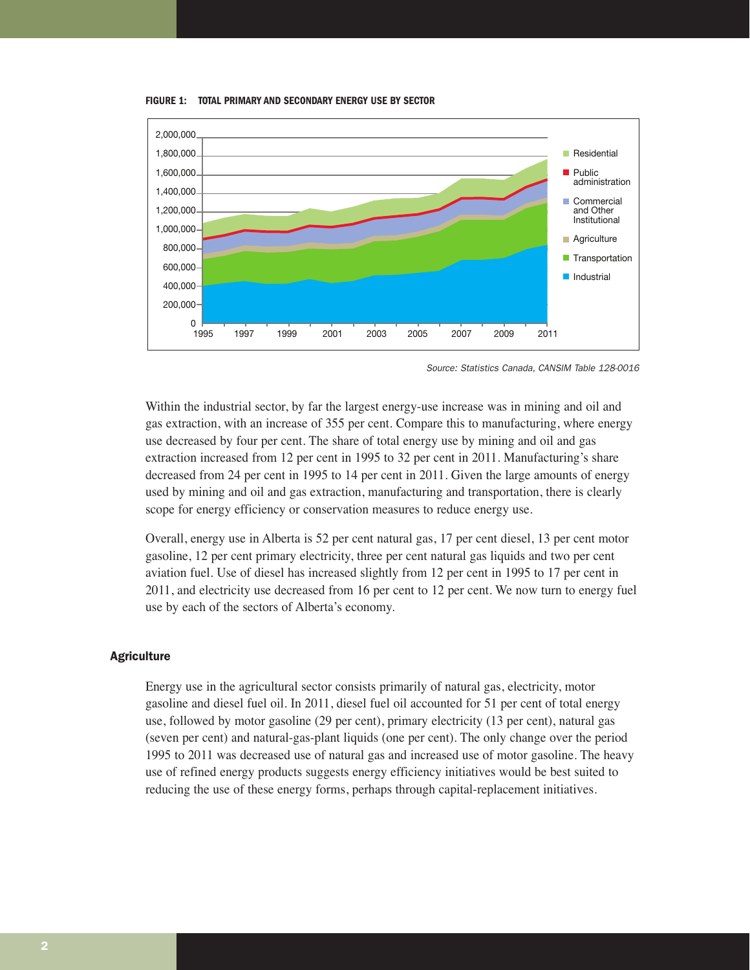

**FIGURE 1: TOTAL PRIMARY AND SECONDARY ENERGY USE BY SECTOR**

Source: Statistics Canada, CANSIM Table 128-0016

Within the industrial sector, by far the largest energy-use increase was in mining and oil and gas extraction, with an increase of 355 per cent. Compare this to manufacturing, where energy use decreased by four per cent. The share of total energy use by mining and oil and gas extraction increased from 12 per cent in 1995 to 32 per cent in 2011. Manufacturing's share decreased from 24 per cent in 1995 to 14 per cent in 2011. Given the large amounts of energy used by mining and oil and gas extraction, manufacturing and transportation, there is clearly scope for energy efficiency or conservation measures to reduce energy use.

Overall, energy use in Alberta is 52 per cent natural gas, 17 per cent diesel, 13 per cent motor gasoline, 12 per cent primary electricity, three per cent natural gas liquids and two per cent aviation fuel. Use of diesel has increased slightly from 12 per cent in 1995 to 17 per cent in 2011, and electricity use decreased from 16 per cent to 12 per cent. We now turn to energy fuel use by each of the sectors of Alberta's economy.

#### **Agriculture**

Energy use in the agricultural sector consists primarily of natural gas, electricity, motor gasoline and diesel fuel oil. In 2011, diesel fuel oil accounted for 51 per cent of total energy use, followed by motor gasoline (29 per cent), primary electricity (13 per cent), natural gas (seven per cent) and natural-gas-plant liquids (one per cent). The only change over the period 1995 to 2011 was decreased use of natural gas and increased use of motor gasoline. The heavy use of refined energy products suggests energy efficiency initiatives would be best suited to reducing the use of these energy forms, perhaps through capital-replacement initiatives.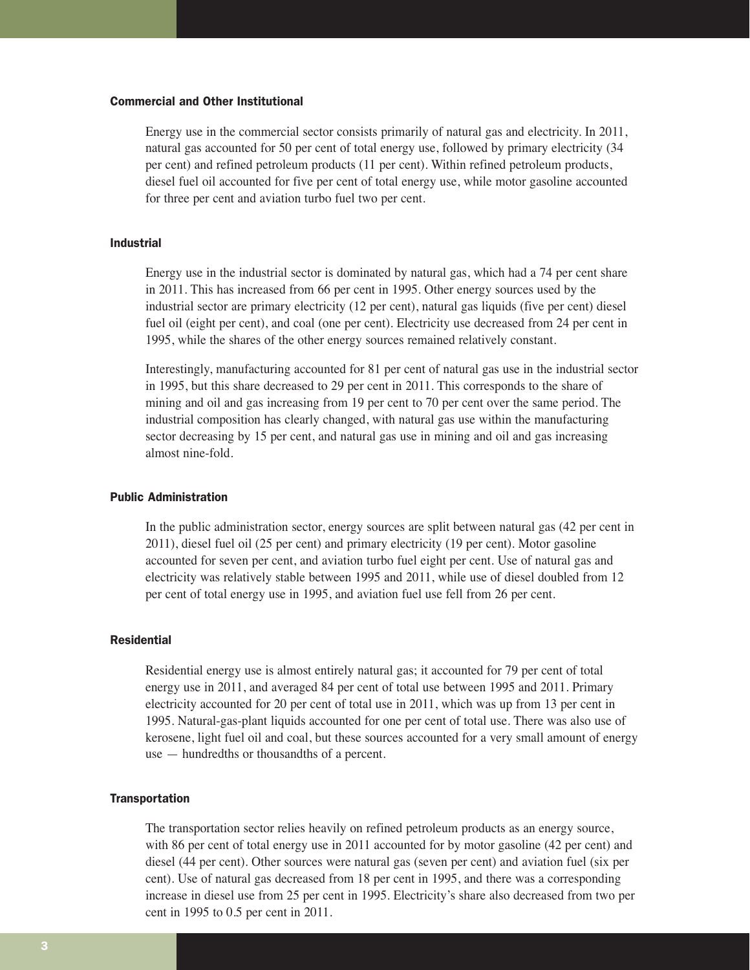## Commercial and Other Institutional

Energy use in the commercial sector consists primarily of natural gas and electricity. In 2011, natural gas accounted for 50 per cent of total energy use, followed by primary electricity (34 per cent) and refined petroleum products (11 per cent). Within refined petroleum products, diesel fuel oil accounted for five per cent of total energy use, while motor gasoline accounted for three per cent and aviation turbo fuel two per cent.

## Industrial

Energy use in the industrial sector is dominated by natural gas, which had a 74 per cent share in 2011. This has increased from 66 per cent in 1995. Other energy sources used by the industrial sector are primary electricity (12 per cent), natural gas liquids (five per cent) diesel fuel oil (eight per cent), and coal (one per cent). Electricity use decreased from 24 per cent in 1995, while the shares of the other energy sources remained relatively constant.

Interestingly, manufacturing accounted for 81 per cent of natural gas use in the industrial sector in 1995, but this share decreased to 29 per cent in 2011. This corresponds to the share of mining and oil and gas increasing from 19 per cent to 70 per cent over the same period. The industrial composition has clearly changed, with natural gas use within the manufacturing sector decreasing by 15 per cent, and natural gas use in mining and oil and gas increasing almost nine-fold.

#### Public Administration

In the public administration sector, energy sources are split between natural gas (42 per cent in 2011), diesel fuel oil (25 per cent) and primary electricity (19 per cent). Motor gasoline accounted for seven per cent, and aviation turbo fuel eight per cent. Use of natural gas and electricity was relatively stable between 1995 and 2011, while use of diesel doubled from 12 per cent of total energy use in 1995, and aviation fuel use fell from 26 per cent.

#### Residential

Residential energy use is almost entirely natural gas; it accounted for 79 per cent of total energy use in 2011, and averaged 84 per cent of total use between 1995 and 2011. Primary electricity accounted for 20 per cent of total use in 2011, which was up from 13 per cent in 1995. Natural-gas-plant liquids accounted for one per cent of total use. There was also use of kerosene, light fuel oil and coal, but these sources accounted for a very small amount of energy use — hundredths or thousandths of a percent.

#### **Transportation**

The transportation sector relies heavily on refined petroleum products as an energy source, with 86 per cent of total energy use in 2011 accounted for by motor gasoline (42 per cent) and diesel (44 per cent). Other sources were natural gas (seven per cent) and aviation fuel (six per cent). Use of natural gas decreased from 18 per cent in 1995, and there was a corresponding increase in diesel use from 25 per cent in 1995. Electricity's share also decreased from two per cent in 1995 to 0.5 per cent in 2011.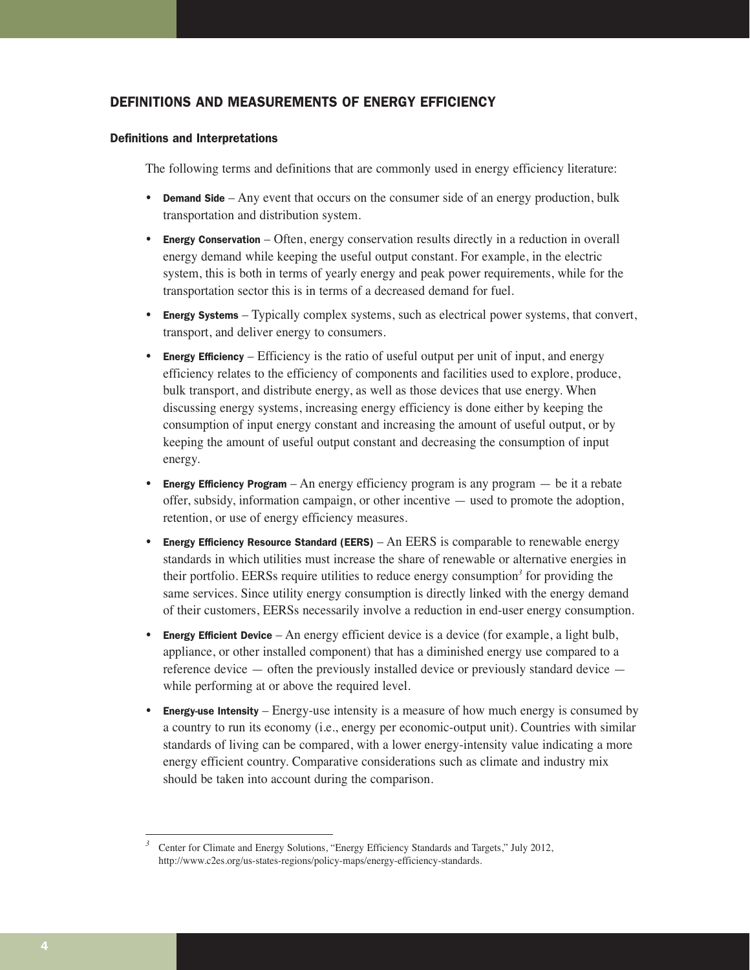## DEFINITIONS AND MEASUREMENTS OF ENERGY EFFICIENCY

## Definitions and Interpretations

The following terms and definitions that are commonly used in energy efficiency literature:

- Demand Side  $-$  Any event that occurs on the consumer side of an energy production, bulk transportation and distribution system.
- Energy Conservation Often, energy conservation results directly in a reduction in overall energy demand while keeping the useful output constant. For example, in the electric system, this is both in terms of yearly energy and peak power requirements, while for the transportation sector this is in terms of a decreased demand for fuel.
- Energy Systems Typically complex systems, such as electrical power systems, that convert, transport, and deliver energy to consumers.
- Energy Efficiency Efficiency is the ratio of useful output per unit of input, and energy efficiency relates to the efficiency of components and facilities used to explore, produce, bulk transport, and distribute energy, as well as those devices that use energy. When discussing energy systems, increasing energy efficiency is done either by keeping the consumption of input energy constant and increasing the amount of useful output, or by keeping the amount of useful output constant and decreasing the consumption of input energy.
- **Energy Efficiency Program** An energy efficiency program is any program  $-$  be it a rebate offer, subsidy, information campaign, or other incentive — used to promote the adoption, retention, or use of energy efficiency measures.
- Energy Efficiency Resource Standard (EERS) An EERS is comparable to renewable energy standards in which utilities must increase the share of renewable or alternative energies in their portfolio. EERSs require utilities to reduce energy consumption*<sup>3</sup>* for providing the same services. Since utility energy consumption is directly linked with the energy demand of their customers, EERSs necessarily involve a reduction in end-user energy consumption.
- Energy Efficient Device An energy efficient device is a device (for example, a light bulb, appliance, or other installed component) that has a diminished energy use compared to a reference device  $-$  often the previously installed device or previously standard device  $$ while performing at or above the required level.
- **Energy-use Intensity** Energy-use intensity is a measure of how much energy is consumed by a country to run its economy (i.e., energy per economic-output unit). Countries with similar standards of living can be compared, with a lower energy-intensity value indicating a more energy efficient country. Comparative considerations such as climate and industry mix should be taken into account during the comparison.

<sup>&</sup>lt;sup>3</sup> Center for Climate and Energy Solutions, "Energy Efficiency Standards and Targets," July 2012, http://www.c2es.org/us-states-regions/policy-maps/energy-efficiency-standards.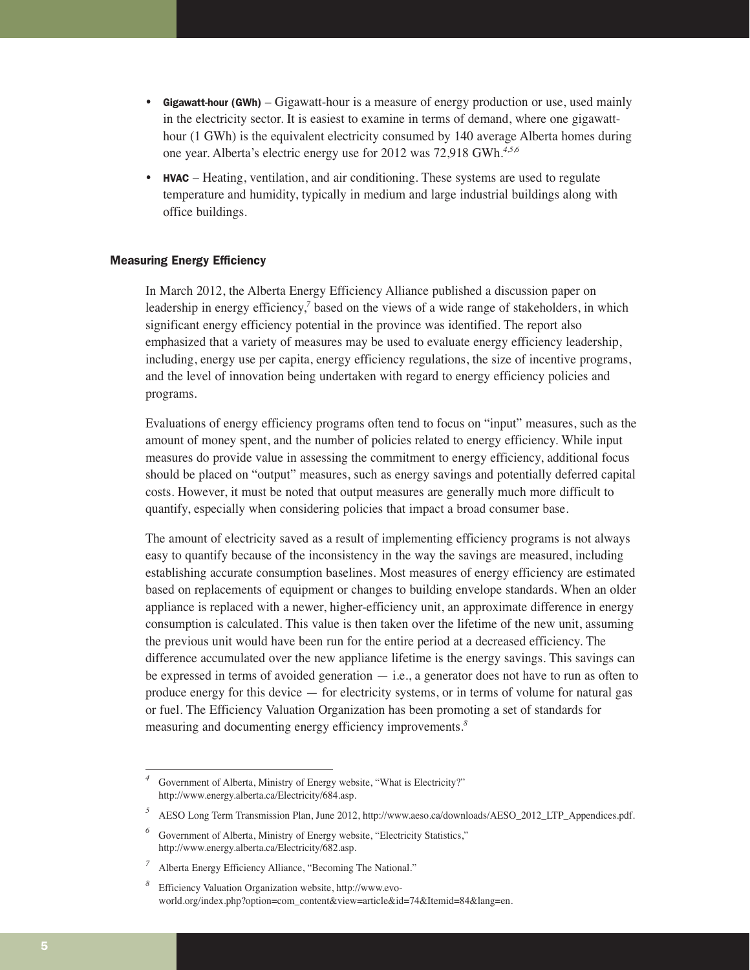- Gigawatt-hour (GWh) Gigawatt-hour is a measure of energy production or use, used mainly in the electricity sector. It is easiest to examine in terms of demand, where one gigawatthour (1 GWh) is the equivalent electricity consumed by 140 average Alberta homes during one year. Alberta's electric energy use for 2012 was 72,918 GWh.*4,5,6*
- HVAC Heating, ventilation, and air conditioning. These systems are used to regulate temperature and humidity, typically in medium and large industrial buildings along with office buildings.

## Measuring Energy Efficiency

In March 2012, the Alberta Energy Efficiency Alliance published a discussion paper on leadership in energy efficiency,*<sup>7</sup>* based on the views of a wide range of stakeholders, in which significant energy efficiency potential in the province was identified. The report also emphasized that a variety of measures may be used to evaluate energy efficiency leadership, including, energy use per capita, energy efficiency regulations, the size of incentive programs, and the level of innovation being undertaken with regard to energy efficiency policies and programs.

Evaluations of energy efficiency programs often tend to focus on "input" measures, such as the amount of money spent, and the number of policies related to energy efficiency. While input measures do provide value in assessing the commitment to energy efficiency, additional focus should be placed on "output" measures, such as energy savings and potentially deferred capital costs. However, it must be noted that output measures are generally much more difficult to quantify, especially when considering policies that impact a broad consumer base.

The amount of electricity saved as a result of implementing efficiency programs is not always easy to quantify because of the inconsistency in the way the savings are measured, including establishing accurate consumption baselines. Most measures of energy efficiency are estimated based on replacements of equipment or changes to building envelope standards. When an older appliance is replaced with a newer, higher-efficiency unit, an approximate difference in energy consumption is calculated. This value is then taken over the lifetime of the new unit, assuming the previous unit would have been run for the entire period at a decreased efficiency. The difference accumulated over the new appliance lifetime is the energy savings. This savings can be expressed in terms of avoided generation  $-$  i.e., a generator does not have to run as often to produce energy for this device — for electricity systems, or in terms of volume for natural gas or fuel. The Efficiency Valuation Organization has been promoting a set of standards for measuring and documenting energy efficiency improvements.*<sup>8</sup>*

Government of Alberta, Ministry of Energy website, "What is Electricity?" http://www.energy.alberta.ca/Electricity/684.asp.

<sup>&</sup>lt;sup>5</sup> AESO Long Term Transmission Plan, June 2012, http://www.aeso.ca/downloads/AESO 2012 LTP\_Appendices.pdf.

Government of Alberta, Ministry of Energy website, "Electricity Statistics," http://www.energy.alberta.ca/Electricity/682.asp.

*<sup>7</sup>* Alberta Energy Efficiency Alliance, "Becoming The National."

*<sup>8</sup>* Efficiency Valuation Organization website, http://www.evoworld.org/index.php?option=com\_content&view=article&id=74&Itemid=84&lang=en.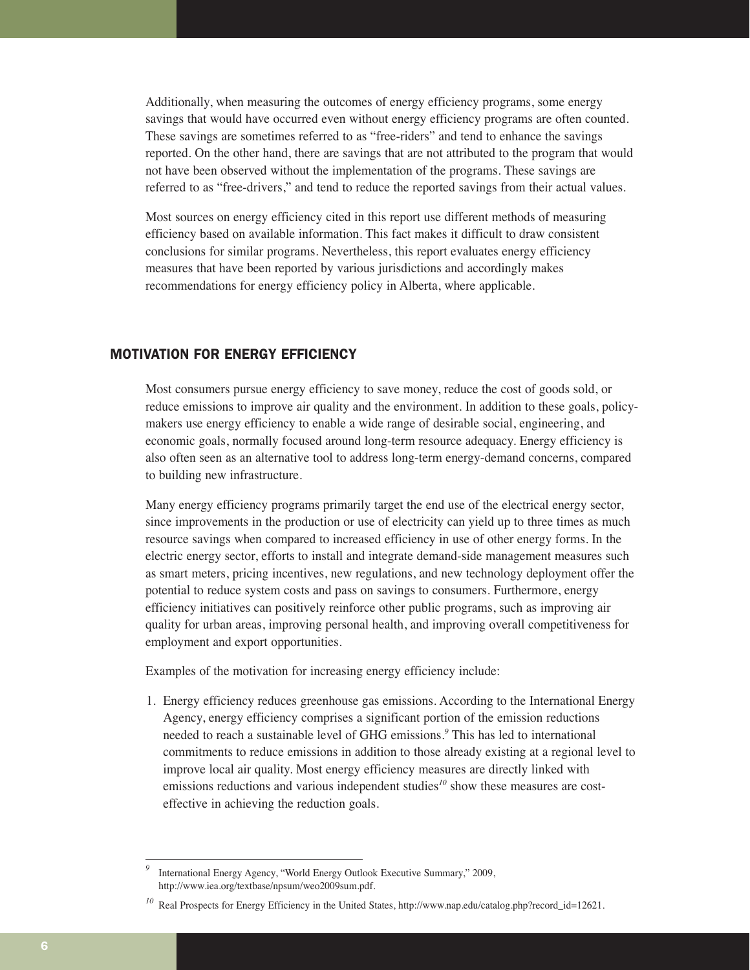Additionally, when measuring the outcomes of energy efficiency programs, some energy savings that would have occurred even without energy efficiency programs are often counted. These savings are sometimes referred to as "free-riders" and tend to enhance the savings reported. On the other hand, there are savings that are not attributed to the program that would not have been observed without the implementation of the programs. These savings are referred to as "free-drivers," and tend to reduce the reported savings from their actual values.

Most sources on energy efficiency cited in this report use different methods of measuring efficiency based on available information. This fact makes it difficult to draw consistent conclusions for similar programs. Nevertheless, this report evaluates energy efficiency measures that have been reported by various jurisdictions and accordingly makes recommendations for energy efficiency policy in Alberta, where applicable.

## MOTIVATION FOR ENERGY EFFICIENCY

Most consumers pursue energy efficiency to save money, reduce the cost of goods sold, or reduce emissions to improve air quality and the environment. In addition to these goals, policymakers use energy efficiency to enable a wide range of desirable social, engineering, and economic goals, normally focused around long-term resource adequacy. Energy efficiency is also often seen as an alternative tool to address long-term energy-demand concerns, compared to building new infrastructure.

Many energy efficiency programs primarily target the end use of the electrical energy sector, since improvements in the production or use of electricity can yield up to three times as much resource savings when compared to increased efficiency in use of other energy forms. In the electric energy sector, efforts to install and integrate demand-side management measures such as smart meters, pricing incentives, new regulations, and new technology deployment offer the potential to reduce system costs and pass on savings to consumers. Furthermore, energy efficiency initiatives can positively reinforce other public programs, such as improving air quality for urban areas, improving personal health, and improving overall competitiveness for employment and export opportunities.

Examples of the motivation for increasing energy efficiency include:

1. Energy efficiency reduces greenhouse gas emissions. According to the International Energy Agency, energy efficiency comprises a significant portion of the emission reductions needed to reach a sustainable level of GHG emissions.*<sup>9</sup>* This has led to international commitments to reduce emissions in addition to those already existing at a regional level to improve local air quality. Most energy efficiency measures are directly linked with emissions reductions and various independent studies<sup>10</sup> show these measures are costeffective in achieving the reduction goals.

International Energy Agency, "World Energy Outlook Executive Summary," 2009, http://www.iea.org/textbase/npsum/weo2009sum.pdf.

<sup>&</sup>lt;sup>10</sup> Real Prospects for Energy Efficiency in the United States, http://www.nap.edu/catalog.php?record\_id=12621.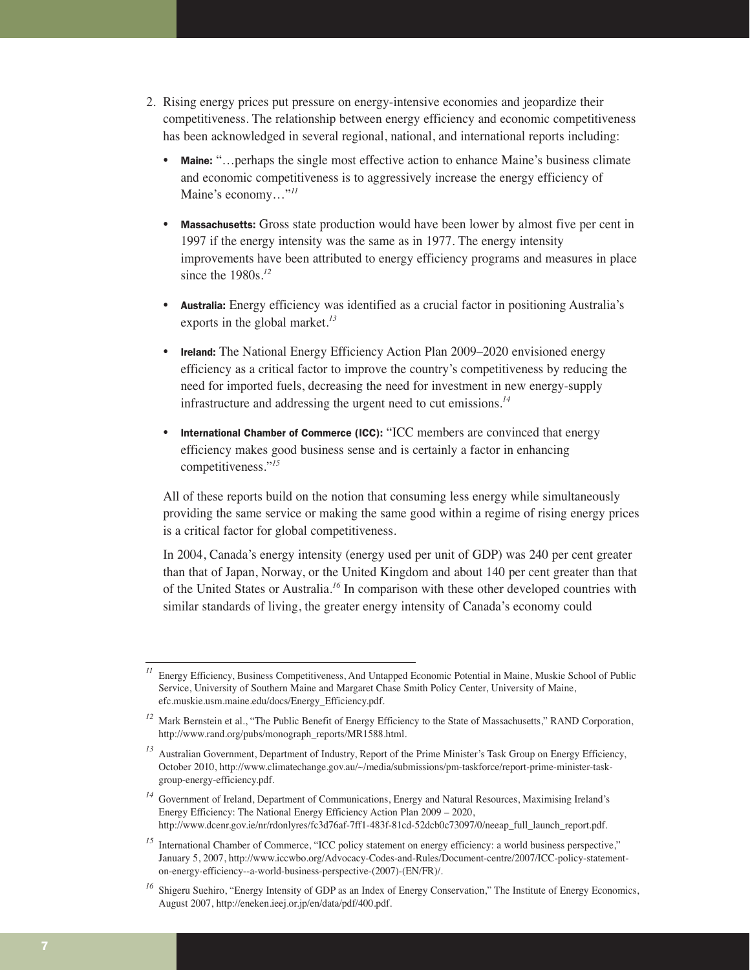- 2. Rising energy prices put pressure on energy-intensive economies and jeopardize their competitiveness. The relationship between energy efficiency and economic competitiveness has been acknowledged in several regional, national, and international reports including:
	- Maine: "... perhaps the single most effective action to enhance Maine's business climate and economic competitiveness is to aggressively increase the energy efficiency of Maine's economy…"*<sup>11</sup>*
	- **Massachusetts:** Gross state production would have been lower by almost five per cent in 1997 if the energy intensity was the same as in 1977. The energy intensity improvements have been attributed to energy efficiency programs and measures in place since the 1980s.*<sup>12</sup>*
	- Australia: Energy efficiency was identified as a crucial factor in positioning Australia's exports in the global market.*<sup>13</sup>*
	- Ireland: The National Energy Efficiency Action Plan 2009–2020 envisioned energy efficiency as a critical factor to improve the country's competitiveness by reducing the need for imported fuels, decreasing the need for investment in new energy-supply infrastructure and addressing the urgent need to cut emissions.*<sup>14</sup>*
	- International Chamber of Commerce (ICC): "ICC members are convinced that energy efficiency makes good business sense and is certainly a factor in enhancing competitiveness."*<sup>15</sup>*

All of these reports build on the notion that consuming less energy while simultaneously providing the same service or making the same good within a regime of rising energy prices is a critical factor for global competitiveness.

In 2004, Canada's energy intensity (energy used per unit of GDP) was 240 per cent greater than that of Japan, Norway, or the United Kingdom and about 140 per cent greater than that of the United States or Australia.*<sup>16</sup>* In comparison with these other developed countries with similar standards of living, the greater energy intensity of Canada's economy could

<sup>15</sup> International Chamber of Commerce, "ICC policy statement on energy efficiency: a world business perspective," January 5, 2007, http://www.iccwbo.org/Advocacy-Codes-and-Rules/Document-centre/2007/ICC-policy-statementon-energy-efficiency--a-world-business-perspective-(2007)-(EN/FR)/.

*<sup>11</sup>* Energy Efficiency, Business Competitiveness, And Untapped Economic Potential in Maine, Muskie School of Public Service, University of Southern Maine and Margaret Chase Smith Policy Center, University of Maine, efc.muskie.usm.maine.edu/docs/Energy\_Efficiency.pdf.

<sup>&</sup>lt;sup>12</sup> Mark Bernstein et al., "The Public Benefit of Energy Efficiency to the State of Massachusetts," RAND Corporation, http://www.rand.org/pubs/monograph\_reports/MR1588.html.

<sup>&</sup>lt;sup>13</sup> Australian Government, Department of Industry, Report of the Prime Minister's Task Group on Energy Efficiency, October 2010, http://www.climatechange.gov.au/~/media/submissions/pm-taskforce/report-prime-minister-taskgroup-energy-efficiency.pdf.

*<sup>14</sup>* Government of Ireland, Department of Communications, Energy and Natural Resources, Maximising Ireland's Energy Efficiency: The National Energy Efficiency Action Plan 2009 – 2020, http://www.dcenr.gov.ie/nr/rdonlyres/fc3d76af-7ff1-483f-81cd-52dcb0c73097/0/neeap\_full\_launch\_report.pdf.

<sup>&</sup>lt;sup>16</sup> Shigeru Suehiro, "Energy Intensity of GDP as an Index of Energy Conservation," The Institute of Energy Economics, August 2007, http://eneken.ieej.or.jp/en/data/pdf/400.pdf.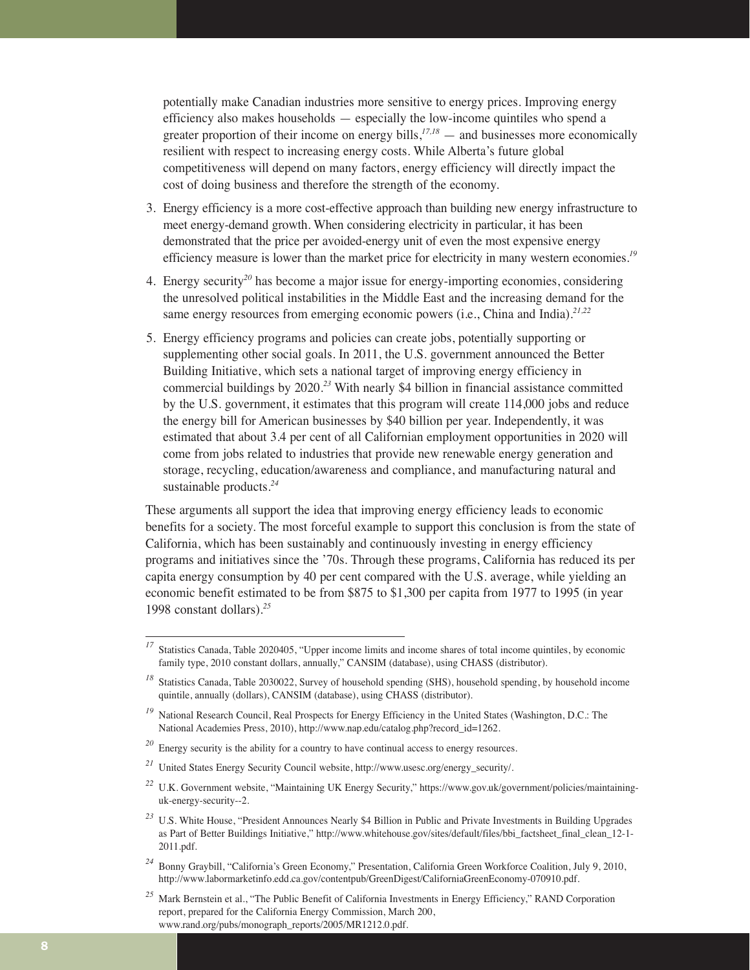potentially make Canadian industries more sensitive to energy prices. Improving energy efficiency also makes households — especially the low-income quintiles who spend a greater proportion of their income on energy bills, $i^{77,18}$  — and businesses more economically resilient with respect to increasing energy costs. While Alberta's future global competitiveness will depend on many factors, energy efficiency will directly impact the cost of doing business and therefore the strength of the economy.

- 3. Energy efficiency is a more cost-effective approach than building new energy infrastructure to meet energy-demand growth. When considering electricity in particular, it has been demonstrated that the price per avoided-energy unit of even the most expensive energy efficiency measure is lower than the market price for electricity in many western economies.*<sup>19</sup>*
- 4. Energy security*<sup>20</sup>* has become a major issue for energy-importing economies, considering the unresolved political instabilities in the Middle East and the increasing demand for the same energy resources from emerging economic powers (i.e., China and India).*21,22*
- 5. Energy efficiency programs and policies can create jobs, potentially supporting or supplementing other social goals. In 2011, the U.S. government announced the Better Building Initiative, which sets a national target of improving energy efficiency in commercial buildings by 2020.*<sup>23</sup>* With nearly \$4 billion in financial assistance committed by the U.S. government, it estimates that this program will create 114,000 jobs and reduce the energy bill for American businesses by \$40 billion per year. Independently, it was estimated that about 3.4 per cent of all Californian employment opportunities in 2020 will come from jobs related to industries that provide new renewable energy generation and storage, recycling, education/awareness and compliance, and manufacturing natural and sustainable products.*<sup>24</sup>*

These arguments all support the idea that improving energy efficiency leads to economic benefits for a society. The most forceful example to support this conclusion is from the state of California, which has been sustainably and continuously investing in energy efficiency programs and initiatives since the '70s. Through these programs, California has reduced its per capita energy consumption by 40 per cent compared with the U.S. average, while yielding an economic benefit estimated to be from \$875 to \$1,300 per capita from 1977 to 1995 (in year 1998 constant dollars).*<sup>25</sup>*

*<sup>24</sup>* Bonny Graybill, "California's Green Economy," Presentation, California Green Workforce Coalition, July 9, 2010, http://www.labormarketinfo.edd.ca.gov/contentpub/GreenDigest/CaliforniaGreenEconomy-070910.pdf.

<sup>&</sup>lt;sup>17</sup> Statistics Canada, Table 2020405, "Upper income limits and income shares of total income quintiles, by economic family type, 2010 constant dollars, annually," CANSIM (database), using CHASS (distributor).

<sup>&</sup>lt;sup>18</sup> Statistics Canada, Table 2030022, Survey of household spending (SHS), household spending, by household income quintile, annually (dollars), CANSIM (database), using CHASS (distributor).

<sup>&</sup>lt;sup>19</sup> National Research Council, Real Prospects for Energy Efficiency in the United States (Washington, D.C.: The National Academies Press, 2010), http://www.nap.edu/catalog.php?record\_id=1262.

<sup>&</sup>lt;sup>20</sup> Energy security is the ability for a country to have continual access to energy resources.

*<sup>21</sup>* United States Energy Security Council website, http://www.usesc.org/energy\_security/.

<sup>&</sup>lt;sup>22</sup> U.K. Government website, "Maintaining UK Energy Security," https://www.gov.uk/government/policies/maintaininguk-energy-security--2.

<sup>&</sup>lt;sup>23</sup> U.S. White House, "President Announces Nearly \$4 Billion in Public and Private Investments in Building Upgrades as Part of Better Buildings Initiative," http://www.whitehouse.gov/sites/default/files/bbi\_factsheet\_final\_clean\_12-1- 2011.pdf.

<sup>&</sup>lt;sup>25</sup> Mark Bernstein et al., "The Public Benefit of California Investments in Energy Efficiency," RAND Corporation report, prepared for the California Energy Commission, March 200, www.rand.org/pubs/monograph\_reports/2005/MR1212.0.pdf.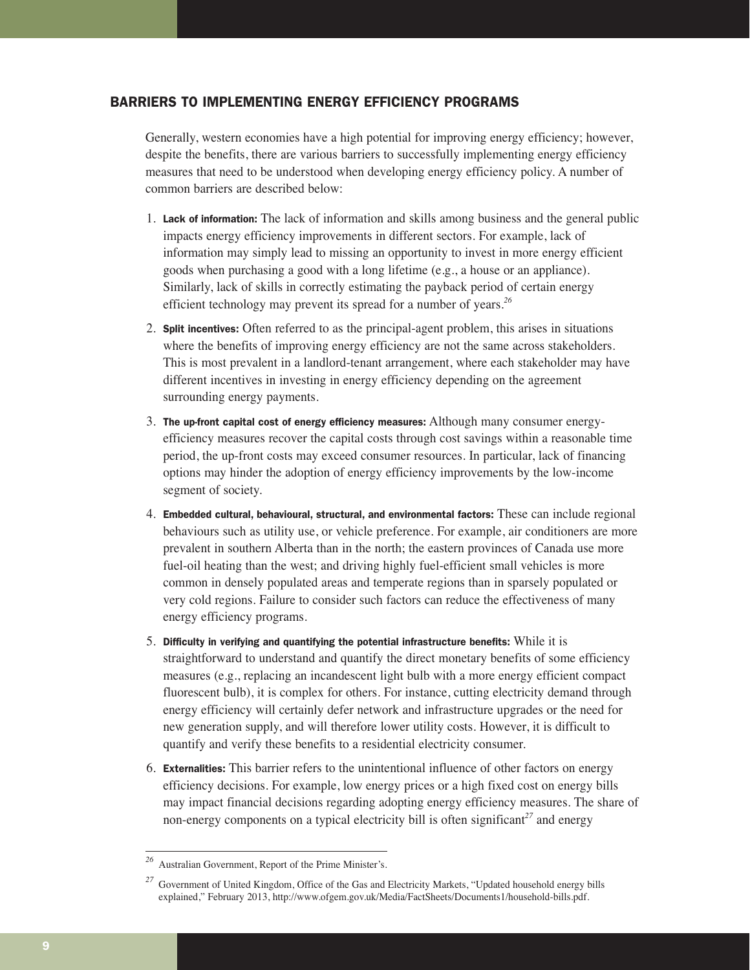## BARRIERS TO IMPLEMENTING ENERGY EFFICIENCY PROGRAMS

Generally, western economies have a high potential for improving energy efficiency; however, despite the benefits, there are various barriers to successfully implementing energy efficiency measures that need to be understood when developing energy efficiency policy. A number of common barriers are described below:

- 1. Lack of information: The lack of information and skills among business and the general public impacts energy efficiency improvements in different sectors. For example, lack of information may simply lead to missing an opportunity to invest in more energy efficient goods when purchasing a good with a long lifetime (e.g., a house or an appliance). Similarly, lack of skills in correctly estimating the payback period of certain energy efficient technology may prevent its spread for a number of years.*<sup>26</sup>*
- 2. Split incentives: Often referred to as the principal-agent problem, this arises in situations where the benefits of improving energy efficiency are not the same across stakeholders. This is most prevalent in a landlord-tenant arrangement, where each stakeholder may have different incentives in investing in energy efficiency depending on the agreement surrounding energy payments.
- 3. The up-front capital cost of energy efficiency measures: Although many consumer energyefficiency measures recover the capital costs through cost savings within a reasonable time period, the up-front costs may exceed consumer resources. In particular, lack of financing options may hinder the adoption of energy efficiency improvements by the low-income segment of society.
- 4. Embedded cultural, behavioural, structural, and environmental factors: These can include regional behaviours such as utility use, or vehicle preference. For example, air conditioners are more prevalent in southern Alberta than in the north; the eastern provinces of Canada use more fuel-oil heating than the west; and driving highly fuel-efficient small vehicles is more common in densely populated areas and temperate regions than in sparsely populated or very cold regions. Failure to consider such factors can reduce the effectiveness of many energy efficiency programs.
- 5. Difficulty in verifying and quantifying the potential infrastructure benefits: While it is straightforward to understand and quantify the direct monetary benefits of some efficiency measures (e.g., replacing an incandescent light bulb with a more energy efficient compact fluorescent bulb), it is complex for others. For instance, cutting electricity demand through energy efficiency will certainly defer network and infrastructure upgrades or the need for new generation supply, and will therefore lower utility costs. However, it is difficult to quantify and verify these benefits to a residential electricity consumer.
- 6. Externalities: This barrier refers to the unintentional influence of other factors on energy efficiency decisions. For example, low energy prices or a high fixed cost on energy bills may impact financial decisions regarding adopting energy efficiency measures. The share of non-energy components on a typical electricity bill is often significant*<sup>27</sup>* and energy

*<sup>26</sup>* Australian Government, Report of the Prime Minister's.

<sup>&</sup>lt;sup>27</sup> Government of United Kingdom, Office of the Gas and Electricity Markets, "Updated household energy bills explained," February 2013, http://www.ofgem.gov.uk/Media/FactSheets/Documents1/household-bills.pdf.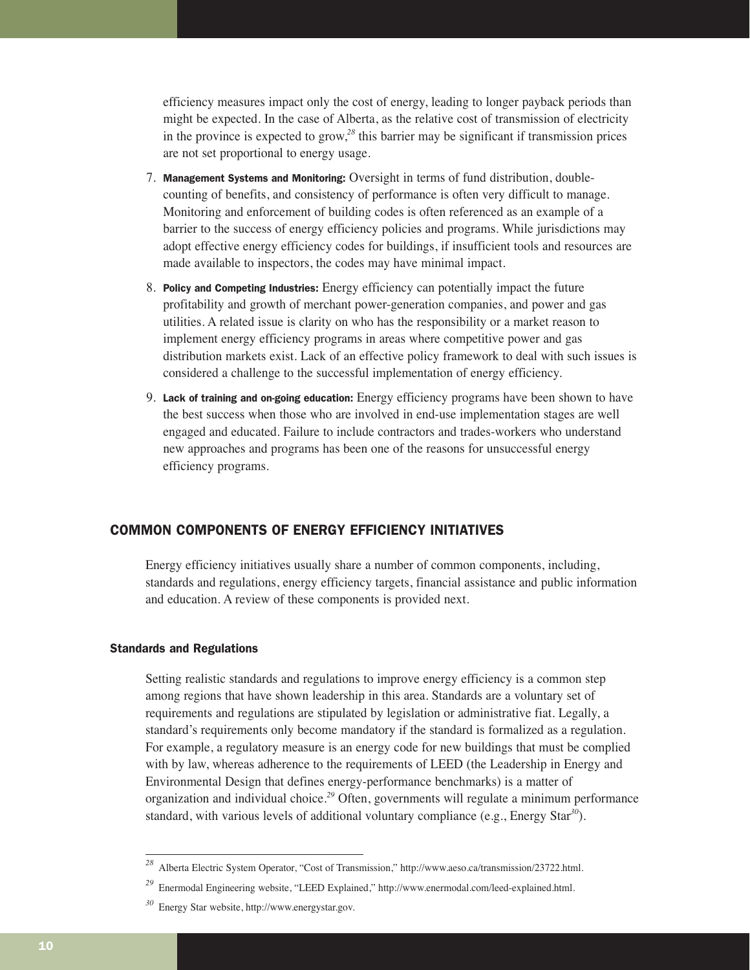efficiency measures impact only the cost of energy, leading to longer payback periods than might be expected. In the case of Alberta, as the relative cost of transmission of electricity in the province is expected to grow,*<sup>28</sup>* this barrier may be significant if transmission prices are not set proportional to energy usage.

- 7. Management Systems and Monitoring: Oversight in terms of fund distribution, doublecounting of benefits, and consistency of performance is often very difficult to manage. Monitoring and enforcement of building codes is often referenced as an example of a barrier to the success of energy efficiency policies and programs. While jurisdictions may adopt effective energy efficiency codes for buildings, if insufficient tools and resources are made available to inspectors, the codes may have minimal impact.
- 8. Policy and Competing Industries: Energy efficiency can potentially impact the future profitability and growth of merchant power-generation companies, and power and gas utilities. A related issue is clarity on who has the responsibility or a market reason to implement energy efficiency programs in areas where competitive power and gas distribution markets exist. Lack of an effective policy framework to deal with such issues is considered a challenge to the successful implementation of energy efficiency.
- 9. Lack of training and on-going education: Energy efficiency programs have been shown to have the best success when those who are involved in end-use implementation stages are well engaged and educated. Failure to include contractors and trades-workers who understand new approaches and programs has been one of the reasons for unsuccessful energy efficiency programs.

## COMMON COMPONENTS OF ENERGY EFFICIENCY INITIATIVES

Energy efficiency initiatives usually share a number of common components, including, standards and regulations, energy efficiency targets, financial assistance and public information and education. A review of these components is provided next.

## Standards and Regulations

Setting realistic standards and regulations to improve energy efficiency is a common step among regions that have shown leadership in this area. Standards are a voluntary set of requirements and regulations are stipulated by legislation or administrative fiat. Legally, a standard's requirements only become mandatory if the standard is formalized as a regulation. For example, a regulatory measure is an energy code for new buildings that must be complied with by law, whereas adherence to the requirements of LEED (the Leadership in Energy and Environmental Design that defines energy-performance benchmarks) is a matter of organization and individual choice.*<sup>29</sup>* Often, governments will regulate a minimum performance standard, with various levels of additional voluntary compliance (e.g., Energy Star*<sup>30</sup>*).

*<sup>28</sup>* Alberta Electric System Operator, "Cost of Transmission," http://www.aeso.ca/transmission/23722.html.

*<sup>29</sup>* Enermodal Engineering website, "LEED Explained," http://www.enermodal.com/leed-explained.html.

*<sup>30</sup>* Energy Star website, http://www.energystar.gov.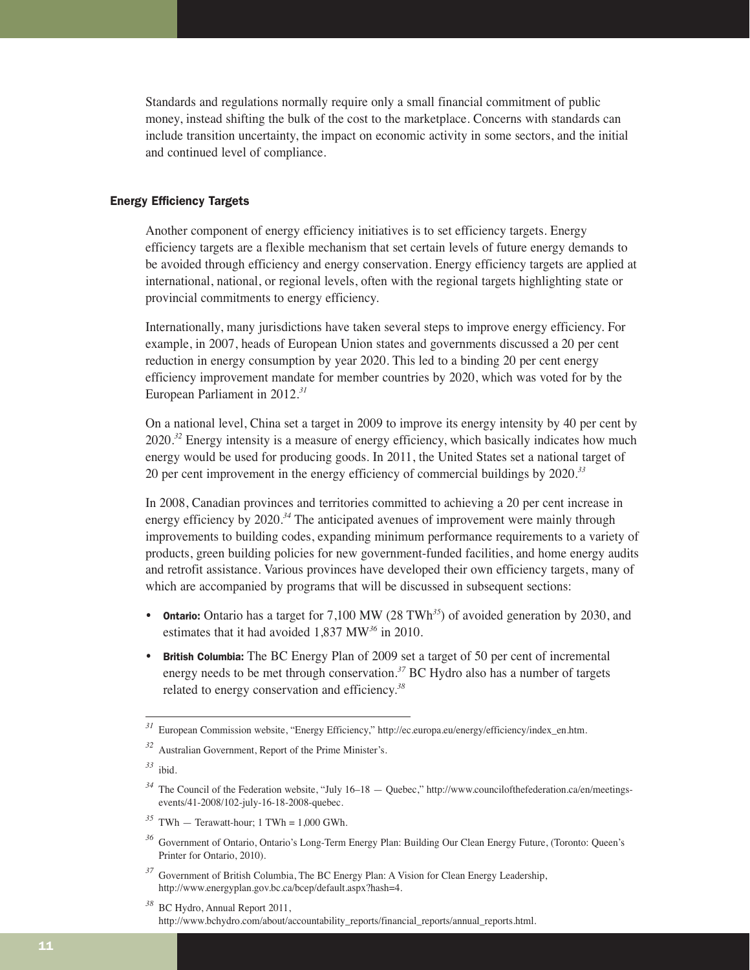Standards and regulations normally require only a small financial commitment of public money, instead shifting the bulk of the cost to the marketplace. Concerns with standards can include transition uncertainty, the impact on economic activity in some sectors, and the initial and continued level of compliance.

## Energy Efficiency Targets

Another component of energy efficiency initiatives is to set efficiency targets. Energy efficiency targets are a flexible mechanism that set certain levels of future energy demands to be avoided through efficiency and energy conservation. Energy efficiency targets are applied at international, national, or regional levels, often with the regional targets highlighting state or provincial commitments to energy efficiency.

Internationally, many jurisdictions have taken several steps to improve energy efficiency. For example, in 2007, heads of European Union states and governments discussed a 20 per cent reduction in energy consumption by year 2020. This led to a binding 20 per cent energy efficiency improvement mandate for member countries by 2020, which was voted for by the European Parliament in 2012.*<sup>31</sup>*

On a national level, China set a target in 2009 to improve its energy intensity by 40 per cent by 2020.*<sup>32</sup>* Energy intensity is a measure of energy efficiency, which basically indicates how much energy would be used for producing goods. In 2011, the United States set a national target of 20 per cent improvement in the energy efficiency of commercial buildings by 2020.*<sup>33</sup>*

In 2008, Canadian provinces and territories committed to achieving a 20 per cent increase in energy efficiency by 2020.*<sup>34</sup>* The anticipated avenues of improvement were mainly through improvements to building codes, expanding minimum performance requirements to a variety of products, green building policies for new government-funded facilities, and home energy audits and retrofit assistance. Various provinces have developed their own efficiency targets, many of which are accompanied by programs that will be discussed in subsequent sections:

- Ontario: Ontario has a target for 7,100 MW (28 TWh*<sup>35</sup>*) of avoided generation by 2030, and estimates that it had avoided 1,837 MW*<sup>36</sup>* in 2010.
- British Columbia: The BC Energy Plan of 2009 set a target of 50 per cent of incremental energy needs to be met through conservation.*<sup>37</sup>* BC Hydro also has a number of targets related to energy conservation and efficiency.*<sup>38</sup>*

- $35$  TWh Terawatt-hour; 1 TWh = 1,000 GWh.
- *<sup>36</sup>* Government of Ontario, Ontario's Long-Term Energy Plan: Building Our Clean Energy Future, (Toronto: Queen's Printer for Ontario, 2010).

*<sup>31</sup>* European Commission website, "Energy Efficiency," http://ec.europa.eu/energy/efficiency/index\_en.htm.

*<sup>32</sup>* Australian Government, Report of the Prime Minister's.

*<sup>33</sup>* ibid.

<sup>&</sup>lt;sup>34</sup> The Council of the Federation website, "July 16–18 — Quebec," http://www.councilofthefederation.ca/en/meetingsevents/41-2008/102-july-16-18-2008-quebec.

<sup>&</sup>lt;sup>37</sup> Government of British Columbia, The BC Energy Plan: A Vision for Clean Energy Leadership, http://www.energyplan.gov.bc.ca/bcep/default.aspx?hash=4.

*<sup>38</sup>* BC Hydro, Annual Report 2011, http://www.bchydro.com/about/accountability\_reports/financial\_reports/annual\_reports.html.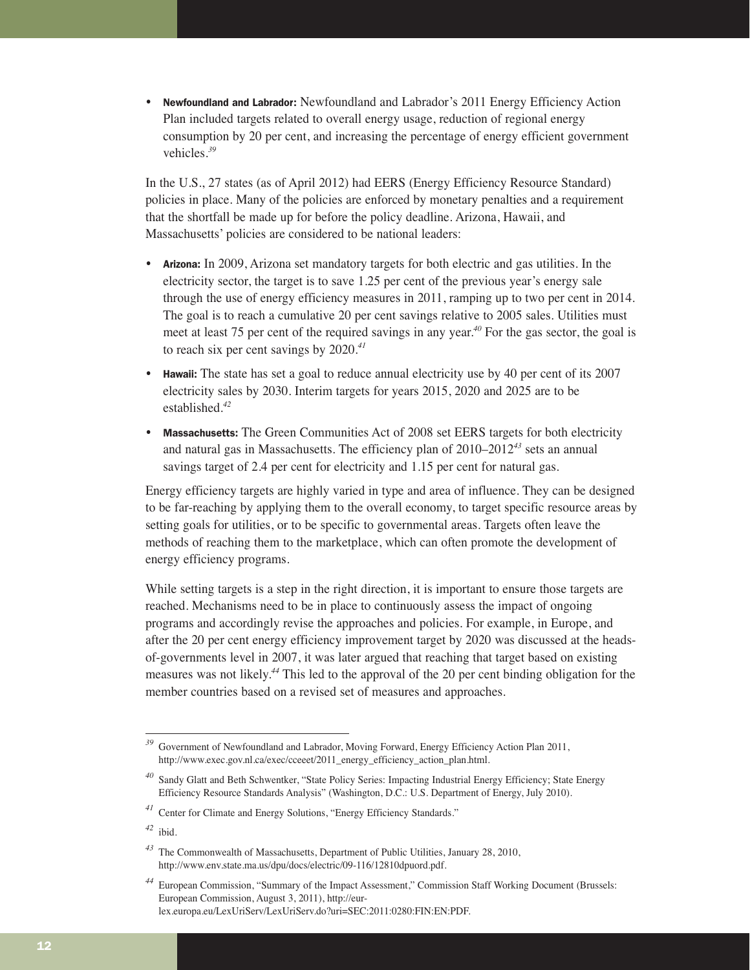• Newfoundland and Labrador: Newfoundland and Labrador's 2011 Energy Efficiency Action Plan included targets related to overall energy usage, reduction of regional energy consumption by 20 per cent, and increasing the percentage of energy efficient government vehicles.*<sup>39</sup>*

In the U.S., 27 states (as of April 2012) had EERS (Energy Efficiency Resource Standard) policies in place. Many of the policies are enforced by monetary penalties and a requirement that the shortfall be made up for before the policy deadline. Arizona, Hawaii, and Massachusetts' policies are considered to be national leaders:

- Arizona: In 2009, Arizona set mandatory targets for both electric and gas utilities. In the electricity sector, the target is to save 1.25 per cent of the previous year's energy sale through the use of energy efficiency measures in 2011, ramping up to two per cent in 2014. The goal is to reach a cumulative 20 per cent savings relative to 2005 sales. Utilities must meet at least 75 per cent of the required savings in any year.*<sup>40</sup>* For the gas sector, the goal is to reach six per cent savings by 2020.*<sup>41</sup>*
- Hawaii: The state has set a goal to reduce annual electricity use by 40 per cent of its 2007 electricity sales by 2030. Interim targets for years 2015, 2020 and 2025 are to be established.*<sup>42</sup>*
- Massachusetts: The Green Communities Act of 2008 set EERS targets for both electricity and natural gas in Massachusetts. The efficiency plan of 2010–2012*<sup>43</sup>* sets an annual savings target of 2.4 per cent for electricity and 1.15 per cent for natural gas.

Energy efficiency targets are highly varied in type and area of influence. They can be designed to be far-reaching by applying them to the overall economy, to target specific resource areas by setting goals for utilities, or to be specific to governmental areas. Targets often leave the methods of reaching them to the marketplace, which can often promote the development of energy efficiency programs.

While setting targets is a step in the right direction, it is important to ensure those targets are reached. Mechanisms need to be in place to continuously assess the impact of ongoing programs and accordingly revise the approaches and policies. For example, in Europe, and after the 20 per cent energy efficiency improvement target by 2020 was discussed at the headsof-governments level in 2007, it was later argued that reaching that target based on existing measures was not likely.*<sup>44</sup>* This led to the approval of the 20 per cent binding obligation for the member countries based on a revised set of measures and approaches.

Government of Newfoundland and Labrador, Moving Forward, Energy Efficiency Action Plan 2011, http://www.exec.gov.nl.ca/exec/cceeet/2011\_energy\_efficiency\_action\_plan.html.

Sandy Glatt and Beth Schwentker, "State Policy Series: Impacting Industrial Energy Efficiency; State Energy Efficiency Resource Standards Analysis" (Washington, D.C.: U.S. Department of Energy, July 2010).

*<sup>41</sup>* Center for Climate and Energy Solutions, "Energy Efficiency Standards."

*<sup>42</sup>* ibid.

*<sup>43</sup>* The Commonwealth of Massachusetts, Department of Public Utilities, January 28, 2010, http://www.env.state.ma.us/dpu/docs/electric/09-116/12810dpuord.pdf.

*<sup>44</sup>* European Commission, "Summary of the Impact Assessment," Commission Staff Working Document (Brussels: European Commission, August 3, 2011), http://eurlex.europa.eu/LexUriServ/LexUriServ.do?uri=SEC:2011:0280:FIN:EN:PDF.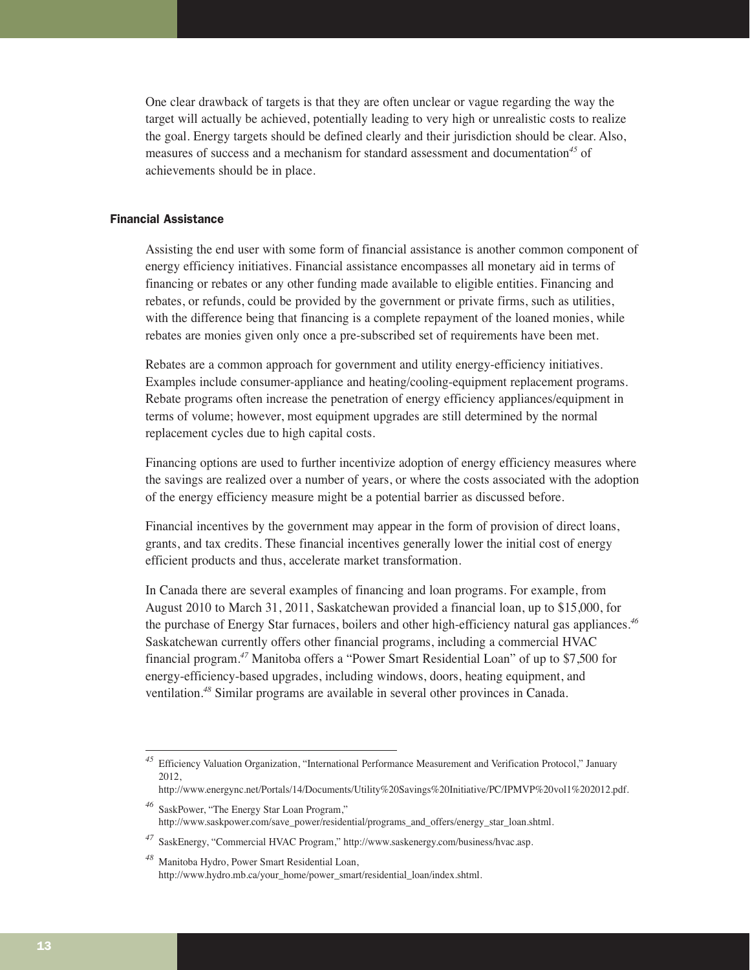One clear drawback of targets is that they are often unclear or vague regarding the way the target will actually be achieved, potentially leading to very high or unrealistic costs to realize the goal. Energy targets should be defined clearly and their jurisdiction should be clear. Also, measures of success and a mechanism for standard assessment and documentation*<sup>45</sup>* of achievements should be in place.

## Financial Assistance

Assisting the end user with some form of financial assistance is another common component of energy efficiency initiatives. Financial assistance encompasses all monetary aid in terms of financing or rebates or any other funding made available to eligible entities. Financing and rebates, or refunds, could be provided by the government or private firms, such as utilities, with the difference being that financing is a complete repayment of the loaned monies, while rebates are monies given only once a pre-subscribed set of requirements have been met.

Rebates are a common approach for government and utility energy-efficiency initiatives. Examples include consumer-appliance and heating/cooling-equipment replacement programs. Rebate programs often increase the penetration of energy efficiency appliances/equipment in terms of volume; however, most equipment upgrades are still determined by the normal replacement cycles due to high capital costs.

Financing options are used to further incentivize adoption of energy efficiency measures where the savings are realized over a number of years, or where the costs associated with the adoption of the energy efficiency measure might be a potential barrier as discussed before.

Financial incentives by the government may appear in the form of provision of direct loans, grants, and tax credits. These financial incentives generally lower the initial cost of energy efficient products and thus, accelerate market transformation.

In Canada there are several examples of financing and loan programs. For example, from August 2010 to March 31, 2011, Saskatchewan provided a financial loan, up to \$15,000, for the purchase of Energy Star furnaces, boilers and other high-efficiency natural gas appliances.*<sup>46</sup>* Saskatchewan currently offers other financial programs, including a commercial HVAC financial program.*<sup>47</sup>* Manitoba offers a "Power Smart Residential Loan" of up to \$7,500 for energy-efficiency-based upgrades, including windows, doors, heating equipment, and ventilation.*<sup>48</sup>* Similar programs are available in several other provinces in Canada.

*<sup>45</sup>* Efficiency Valuation Organization, "International Performance Measurement and Verification Protocol," January 2012,

http://www.energync.net/Portals/14/Documents/Utility%20Savings%20Initiative/PC/IPMVP%20vol1%202012.pdf.

*<sup>46</sup>* SaskPower, "The Energy Star Loan Program," http://www.saskpower.com/save\_power/residential/programs\_and\_offers/energy\_star\_loan.shtml.

*<sup>47</sup>* SaskEnergy, "Commercial HVAC Program," http://www.saskenergy.com/business/hvac.asp.

*<sup>48</sup>* Manitoba Hydro, Power Smart Residential Loan, http://www.hydro.mb.ca/your\_home/power\_smart/residential\_loan/index.shtml.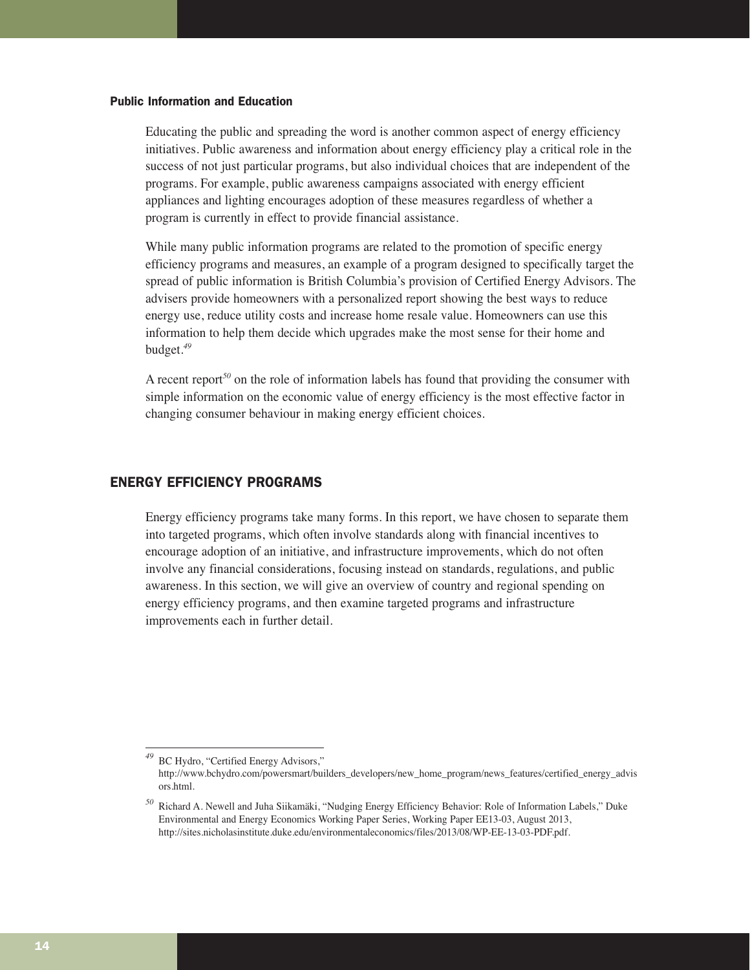#### Public Information and Education

Educating the public and spreading the word is another common aspect of energy efficiency initiatives. Public awareness and information about energy efficiency play a critical role in the success of not just particular programs, but also individual choices that are independent of the programs. For example, public awareness campaigns associated with energy efficient appliances and lighting encourages adoption of these measures regardless of whether a program is currently in effect to provide financial assistance.

While many public information programs are related to the promotion of specific energy efficiency programs and measures, an example of a program designed to specifically target the spread of public information is British Columbia's provision of Certified Energy Advisors. The advisers provide homeowners with a personalized report showing the best ways to reduce energy use, reduce utility costs and increase home resale value. Homeowners can use this information to help them decide which upgrades make the most sense for their home and budget.*<sup>49</sup>*

A recent report*<sup>50</sup>* on the role of information labels has found that providing the consumer with simple information on the economic value of energy efficiency is the most effective factor in changing consumer behaviour in making energy efficient choices.

## ENERGY EFFICIENCY PROGRAMS

Energy efficiency programs take many forms. In this report, we have chosen to separate them into targeted programs, which often involve standards along with financial incentives to encourage adoption of an initiative, and infrastructure improvements, which do not often involve any financial considerations, focusing instead on standards, regulations, and public awareness. In this section, we will give an overview of country and regional spending on energy efficiency programs, and then examine targeted programs and infrastructure improvements each in further detail.

*<sup>49</sup>* BC Hydro, "Certified Energy Advisors," http://www.bchydro.com/powersmart/builders\_developers/new\_home\_program/news\_features/certified\_energy\_advis ors.html.

*<sup>50</sup>* Richard A. Newell and Juha Siikamäki, "Nudging Energy Efficiency Behavior: Role of Information Labels," Duke Environmental and Energy Economics Working Paper Series, Working Paper EE13-03, August 2013, http://sites.nicholasinstitute.duke.edu/environmentaleconomics/files/2013/08/WP-EE-13-03-PDF.pdf.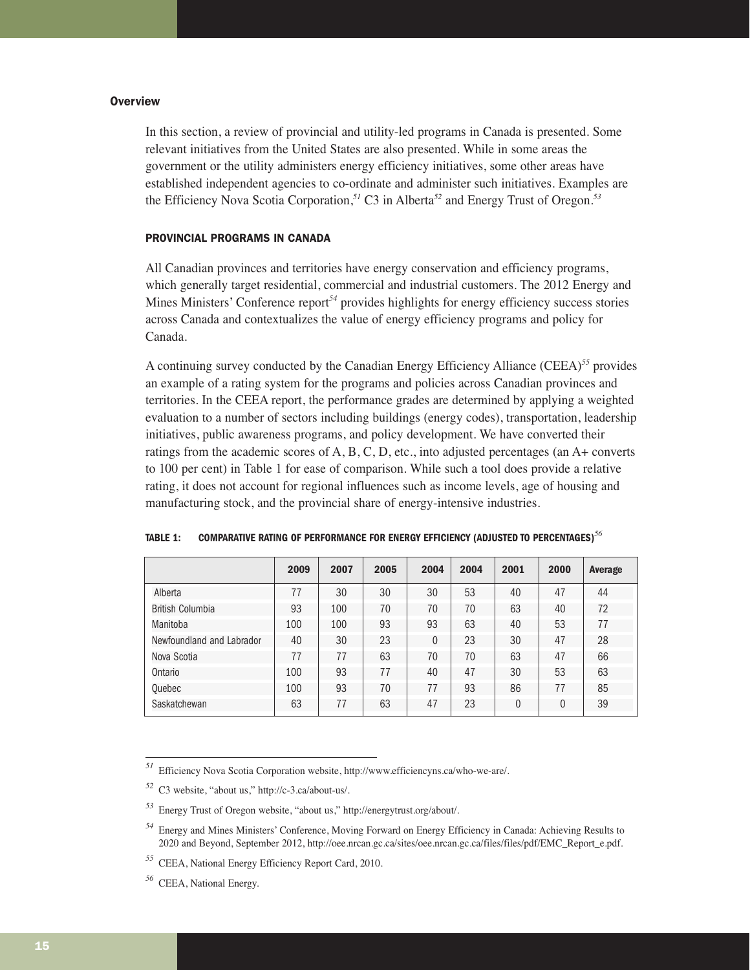## **Overview**

In this section, a review of provincial and utility-led programs in Canada is presented. Some relevant initiatives from the United States are also presented. While in some areas the government or the utility administers energy efficiency initiatives, some other areas have established independent agencies to co-ordinate and administer such initiatives. Examples are the Efficiency Nova Scotia Corporation,*<sup>51</sup>* C3 in Alberta*<sup>52</sup>* and Energy Trust of Oregon.*<sup>53</sup>*

## PROVINCIAL PROGRAMS IN CANADA

All Canadian provinces and territories have energy conservation and efficiency programs, which generally target residential, commercial and industrial customers. The 2012 Energy and Mines Ministers' Conference report*<sup>54</sup>* provides highlights for energy efficiency success stories across Canada and contextualizes the value of energy efficiency programs and policy for Canada.

A continuing survey conducted by the Canadian Energy Efficiency Alliance (CEEA)*<sup>55</sup>* provides an example of a rating system for the programs and policies across Canadian provinces and territories. In the CEEA report, the performance grades are determined by applying a weighted evaluation to a number of sectors including buildings (energy codes), transportation, leadership initiatives, public awareness programs, and policy development. We have converted their ratings from the academic scores of A, B, C, D, etc., into adjusted percentages (an A+ converts to 100 per cent) in Table 1 for ease of comparison. While such a tool does provide a relative rating, it does not account for regional influences such as income levels, age of housing and manufacturing stock, and the provincial share of energy-intensive industries.

|                           | 2009 | 2007 | 2005 | 2004           | 2004 | 2001 | 2000 | Average |
|---------------------------|------|------|------|----------------|------|------|------|---------|
| Alberta                   | 77   | 30   | 30   | 30             | 53   | 40   | 47   | 44      |
| <b>British Columbia</b>   | 93   | 100  | 70   | 70             | 70   | 63   | 40   | 72      |
| Manitoba                  | 100  | 100  | 93   | 93             | 63   | 40   | 53   | 77      |
| Newfoundland and Labrador | 40   | 30   | 23   | $\overline{0}$ | 23   | 30   | 47   | 28      |
| Nova Scotia               | 77   | 77   | 63   | 70             | 70   | 63   | 47   | 66      |
| Ontario                   | 100  | 93   | 77   | 40             | 47   | 30   | 53   | 63      |
| Quebec                    | 100  | 93   | 70   | 77             | 93   | 86   | 77   | 85      |
| Saskatchewan              | 63   | 77   | 63   | 47             | 23   | 0    | 0    | 39      |

| <b>TABLE 1:</b> | COMPARATIVE RATING OF PERFORMANCE FOR ENERGY EFFICIENCY (ADJUSTED TO PERCENTAGES) $^{56}$ |  |  |
|-----------------|-------------------------------------------------------------------------------------------|--|--|
|                 |                                                                                           |  |  |

*<sup>51</sup>* Efficiency Nova Scotia Corporation website, http://www.efficiencyns.ca/who-we-are/.

*<sup>52</sup>* C3 website, "about us," http://c-3.ca/about-us/.

*<sup>53</sup>* Energy Trust of Oregon website, "about us," http://energytrust.org/about/.

*<sup>54</sup>* Energy and Mines Ministers' Conference, Moving Forward on Energy Efficiency in Canada: Achieving Results to 2020 and Beyond, September 2012, http://oee.nrcan.gc.ca/sites/oee.nrcan.gc.ca/files/files/pdf/EMC\_Report\_e.pdf.

*<sup>55</sup>* CEEA, National Energy Efficiency Report Card, 2010.

*<sup>56</sup>* CEEA, National Energy.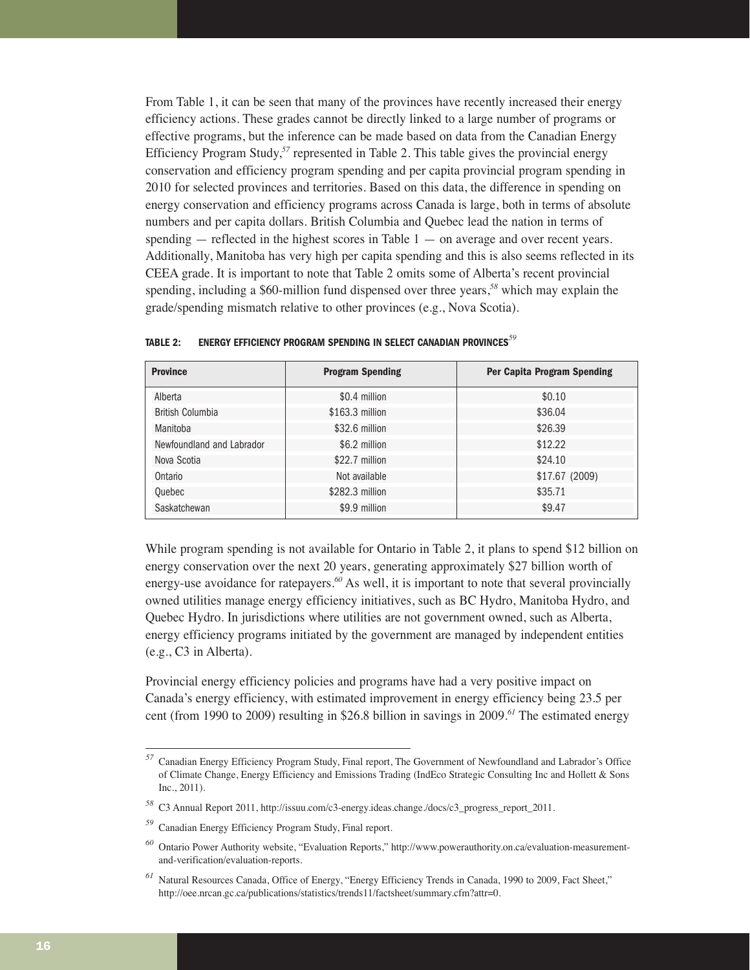From Table 1, it can be seen that many of the provinces have recently increased their energy efficiency actions. These grades cannot be directly linked to a large number of programs or effective programs, but the inference can be made based on data from the Canadian Energy Efficiency Program Study,*<sup>57</sup>* represented in Table 2. This table gives the provincial energy conservation and efficiency program spending and per capita provincial program spending in 2010 for selected provinces and territories. Based on this data, the difference in spending on energy conservation and efficiency programs across Canada is large, both in terms of absolute numbers and per capita dollars. British Columbia and Quebec lead the nation in terms of spending  $-$  reflected in the highest scores in Table  $1 -$  on average and over recent years. Additionally, Manitoba has very high per capita spending and this is also seems reflected in its CEEA grade. It is important to note that Table 2 omits some of Alberta's recent provincial spending, including a \$60-million fund dispensed over three years,*<sup>58</sup>* which may explain the grade/spending mismatch relative to other provinces (e.g., Nova Scotia).

| <b>Province</b>           | <b>Program Spending</b> | Per Capita Program Spending |
|---------------------------|-------------------------|-----------------------------|
| Alberta                   | \$0.4 million           | \$0.10                      |
| <b>British Columbia</b>   | \$163.3 million         | \$36.04                     |
| Manitoba                  | \$32.6 million          | \$26.39                     |
| Newfoundland and Labrador | \$6.2 million           | \$12.22                     |
| Nova Scotia               | \$22.7 million          | \$24.10                     |
| Ontario                   | Not available           | \$17.67 (2009)              |
| Quebec                    | \$282.3 million         | \$35.71                     |
| Saskatchewan              | \$9.9 million           | \$9.47                      |

| <b>TABLE 2:</b> | ENERGY EFFICIENCY PROGRAM SPENDING IN SELECT CANADIAN PROVINCES <sup>59</sup> |  |  |  |
|-----------------|-------------------------------------------------------------------------------|--|--|--|
|                 |                                                                               |  |  |  |

While program spending is not available for Ontario in Table 2, it plans to spend \$12 billion on energy conservation over the next 20 years, generating approximately \$27 billion worth of energy-use avoidance for ratepayers.<sup>60</sup> As well, it is important to note that several provincially owned utilities manage energy efficiency initiatives, such as BC Hydro, Manitoba Hydro, and Quebec Hydro. In jurisdictions where utilities are not government owned, such as Alberta, energy efficiency programs initiated by the government are managed by independent entities (e.g., C3 in Alberta).

Provincial energy efficiency policies and programs have had a very positive impact on Canada's energy efficiency, with estimated improvement in energy efficiency being 23.5 per cent (from 1990 to 2009) resulting in \$26.8 billion in savings in 2009.*<sup>61</sup>* The estimated energy

*<sup>57</sup>* Canadian Energy Efficiency Program Study, Final report, The Government of Newfoundland and Labrador's Office of Climate Change, Energy Efficiency and Emissions Trading (IndEco Strategic Consulting Inc and Hollett & Sons Inc., 2011).

*<sup>58</sup>* C3 Annual Report 2011, http://issuu.com/c3-energy.ideas.change./docs/c3\_progress\_report\_2011.

*<sup>59</sup>* Canadian Energy Efficiency Program Study, Final report.

*<sup>60</sup>* Ontario Power Authority website, "Evaluation Reports," http://www.powerauthority.on.ca/evaluation-measurementand-verification/evaluation-reports.

*<sup>61</sup>* Natural Resources Canada, Office of Energy, "Energy Efficiency Trends in Canada, 1990 to 2009, Fact Sheet," http://oee.nrcan.gc.ca/publications/statistics/trends11/factsheet/summary.cfm?attr=0.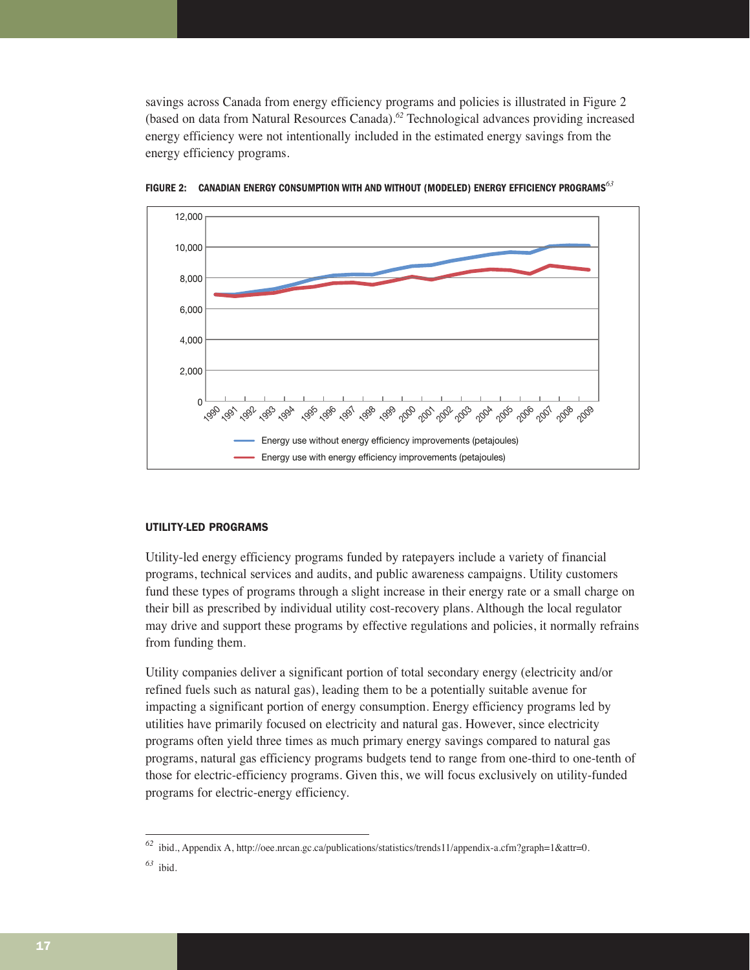savings across Canada from energy efficiency programs and policies is illustrated in Figure 2 (based on data from Natural Resources Canada).*<sup>62</sup>* Technological advances providing increased energy efficiency were not intentionally included in the estimated energy savings from the energy efficiency programs.



**FIGURE 2: CANADIAN ENERGY CONSUMPTION WITH AND WITHOUT (MODELED) ENERGY EFFICIENCY PROGRAMS***<sup>63</sup>*

#### UTILITY-LED PROGRAMS

Utility-led energy efficiency programs funded by ratepayers include a variety of financial programs, technical services and audits, and public awareness campaigns. Utility customers fund these types of programs through a slight increase in their energy rate or a small charge on their bill as prescribed by individual utility cost-recovery plans. Although the local regulator may drive and support these programs by effective regulations and policies, it normally refrains from funding them.

Utility companies deliver a significant portion of total secondary energy (electricity and/or refined fuels such as natural gas), leading them to be a potentially suitable avenue for impacting a significant portion of energy consumption. Energy efficiency programs led by utilities have primarily focused on electricity and natural gas. However, since electricity programs often yield three times as much primary energy savings compared to natural gas programs, natural gas efficiency programs budgets tend to range from one-third to one-tenth of those for electric-efficiency programs. Given this, we will focus exclusively on utility-funded programs for electric-energy efficiency.

*<sup>62</sup>* ibid., Appendix A, http://oee.nrcan.gc.ca/publications/statistics/trends11/appendix-a.cfm?graph=1&attr=0.

*<sup>63</sup>* ibid.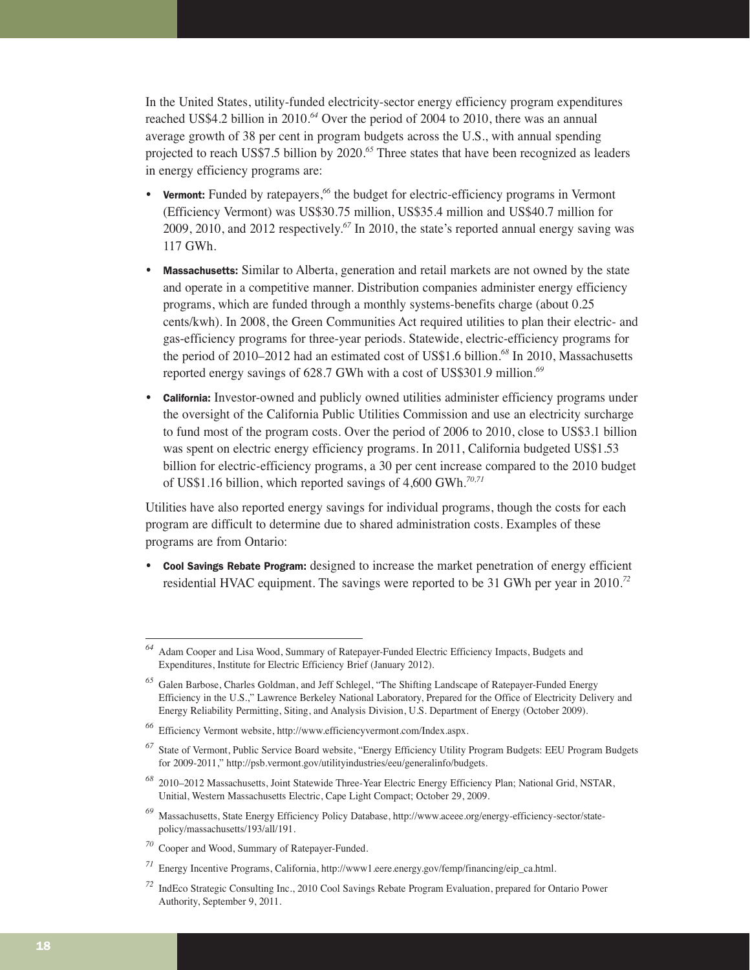In the United States, utility-funded electricity-sector energy efficiency program expenditures reached US\$4.2 billion in 2010.*<sup>64</sup>* Over the period of 2004 to 2010, there was an annual average growth of 38 per cent in program budgets across the U.S., with annual spending projected to reach US\$7.5 billion by 2020.*<sup>65</sup>* Three states that have been recognized as leaders in energy efficiency programs are:

- **Vermont:** Funded by ratepayers,<sup>66</sup> the budget for electric-efficiency programs in Vermont (Efficiency Vermont) was US\$30.75 million, US\$35.4 million and US\$40.7 million for 2009, 2010, and 2012 respectively.*<sup>67</sup>* In 2010, the state's reported annual energy saving was 117 GWh.
- Massachusetts: Similar to Alberta, generation and retail markets are not owned by the state and operate in a competitive manner. Distribution companies administer energy efficiency programs, which are funded through a monthly systems-benefits charge (about 0.25 cents/kwh). In 2008, the Green Communities Act required utilities to plan their electric- and gas-efficiency programs for three-year periods. Statewide, electric-efficiency programs for the period of 2010–2012 had an estimated cost of US\$1.6 billion.*<sup>68</sup>* In 2010, Massachusetts reported energy savings of 628.7 GWh with a cost of US\$301.9 million.*<sup>69</sup>*
- California: Investor-owned and publicly owned utilities administer efficiency programs under the oversight of the California Public Utilities Commission and use an electricity surcharge to fund most of the program costs. Over the period of 2006 to 2010, close to US\$3.1 billion was spent on electric energy efficiency programs. In 2011, California budgeted US\$1.53 billion for electric-efficiency programs, a 30 per cent increase compared to the 2010 budget of US\$1.16 billion, which reported savings of 4,600 GWh.*70,71*

Utilities have also reported energy savings for individual programs, though the costs for each program are difficult to determine due to shared administration costs. Examples of these programs are from Ontario:

• Cool Savings Rebate Program: designed to increase the market penetration of energy efficient residential HVAC equipment. The savings were reported to be 31 GWh per year in 2010.*<sup>72</sup>*

*<sup>64</sup>* Adam Cooper and Lisa Wood, Summary of Ratepayer-Funded Electric Efficiency Impacts, Budgets and Expenditures, Institute for Electric Efficiency Brief (January 2012).

*<sup>65</sup>* Galen Barbose, Charles Goldman, and Jeff Schlegel, "The Shifting Landscape of Ratepayer-Funded Energy Efficiency in the U.S.," Lawrence Berkeley National Laboratory, Prepared for the Office of Electricity Delivery and Energy Reliability Permitting, Siting, and Analysis Division, U.S. Department of Energy (October 2009).

*<sup>66</sup>* Efficiency Vermont website, http://www.efficiencyvermont.com/Index.aspx.

*<sup>67</sup>* State of Vermont, Public Service Board website, "Energy Efficiency Utility Program Budgets: EEU Program Budgets for 2009-2011," http://psb.vermont.gov/utilityindustries/eeu/generalinfo/budgets.

*<sup>68</sup>* 2010–2012 Massachusetts, Joint Statewide Three-Year Electric Energy Efficiency Plan; National Grid, NSTAR, Unitial, Western Massachusetts Electric, Cape Light Compact; October 29, 2009.

*<sup>69</sup>* Massachusetts, State Energy Efficiency Policy Database, http://www.aceee.org/energy-efficiency-sector/statepolicy/massachusetts/193/all/191.

*<sup>70</sup>* Cooper and Wood, Summary of Ratepayer-Funded.

*<sup>71</sup>* Energy Incentive Programs, California, http://www1.eere.energy.gov/femp/financing/eip\_ca.html.

*<sup>72</sup>* IndEco Strategic Consulting Inc., 2010 Cool Savings Rebate Program Evaluation, prepared for Ontario Power Authority, September 9, 2011.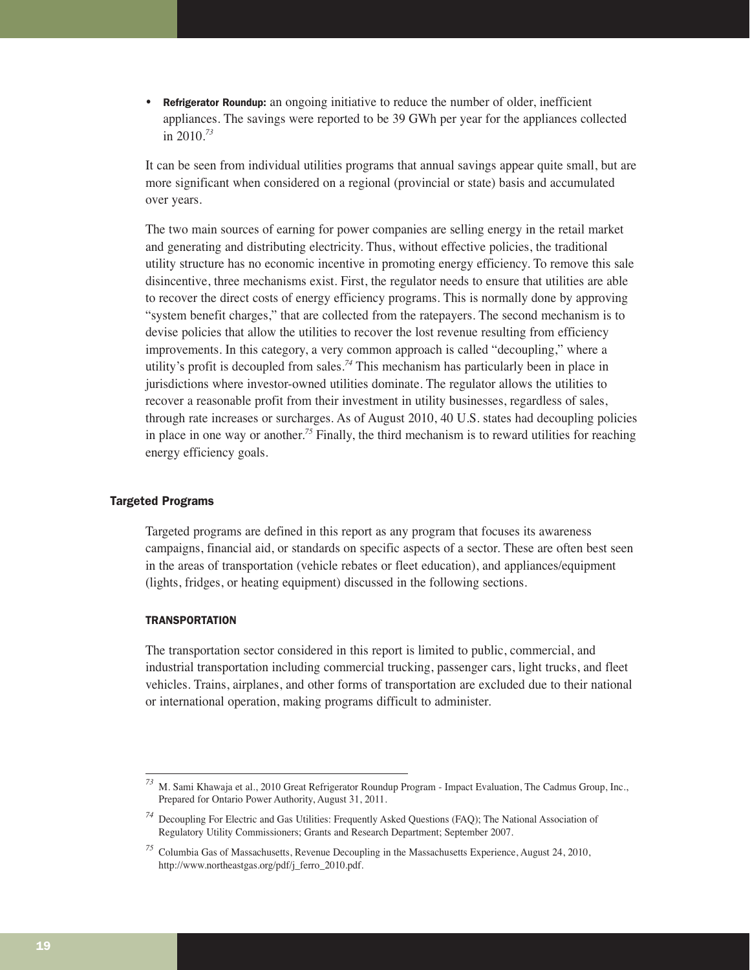• Refrigerator Roundup: an ongoing initiative to reduce the number of older, inefficient appliances. The savings were reported to be 39 GWh per year for the appliances collected in 2010.*<sup>73</sup>*

It can be seen from individual utilities programs that annual savings appear quite small, but are more significant when considered on a regional (provincial or state) basis and accumulated over years.

The two main sources of earning for power companies are selling energy in the retail market and generating and distributing electricity. Thus, without effective policies, the traditional utility structure has no economic incentive in promoting energy efficiency. To remove this sale disincentive, three mechanisms exist. First, the regulator needs to ensure that utilities are able to recover the direct costs of energy efficiency programs. This is normally done by approving "system benefit charges," that are collected from the ratepayers. The second mechanism is to devise policies that allow the utilities to recover the lost revenue resulting from efficiency improvements. In this category, a very common approach is called "decoupling," where a utility's profit is decoupled from sales.*<sup>74</sup>* This mechanism has particularly been in place in jurisdictions where investor-owned utilities dominate. The regulator allows the utilities to recover a reasonable profit from their investment in utility businesses, regardless of sales, through rate increases or surcharges. As of August 2010, 40 U.S. states had decoupling policies in place in one way or another.*<sup>75</sup>* Finally, the third mechanism is to reward utilities for reaching energy efficiency goals.

## Targeted Programs

Targeted programs are defined in this report as any program that focuses its awareness campaigns, financial aid, or standards on specific aspects of a sector. These are often best seen in the areas of transportation (vehicle rebates or fleet education), and appliances/equipment (lights, fridges, or heating equipment) discussed in the following sections.

#### **TRANSPORTATION**

The transportation sector considered in this report is limited to public, commercial, and industrial transportation including commercial trucking, passenger cars, light trucks, and fleet vehicles. Trains, airplanes, and other forms of transportation are excluded due to their national or international operation, making programs difficult to administer.

*<sup>73</sup>* M. Sami Khawaja et al., 2010 Great Refrigerator Roundup Program - Impact Evaluation, The Cadmus Group, Inc., Prepared for Ontario Power Authority, August 31, 2011.

*<sup>74</sup>* Decoupling For Electric and Gas Utilities: Frequently Asked Questions (FAQ); The National Association of Regulatory Utility Commissioners; Grants and Research Department; September 2007.

*<sup>75</sup>* Columbia Gas of Massachusetts, Revenue Decoupling in the Massachusetts Experience, August 24, 2010, http://www.northeastgas.org/pdf/j\_ferro\_2010.pdf.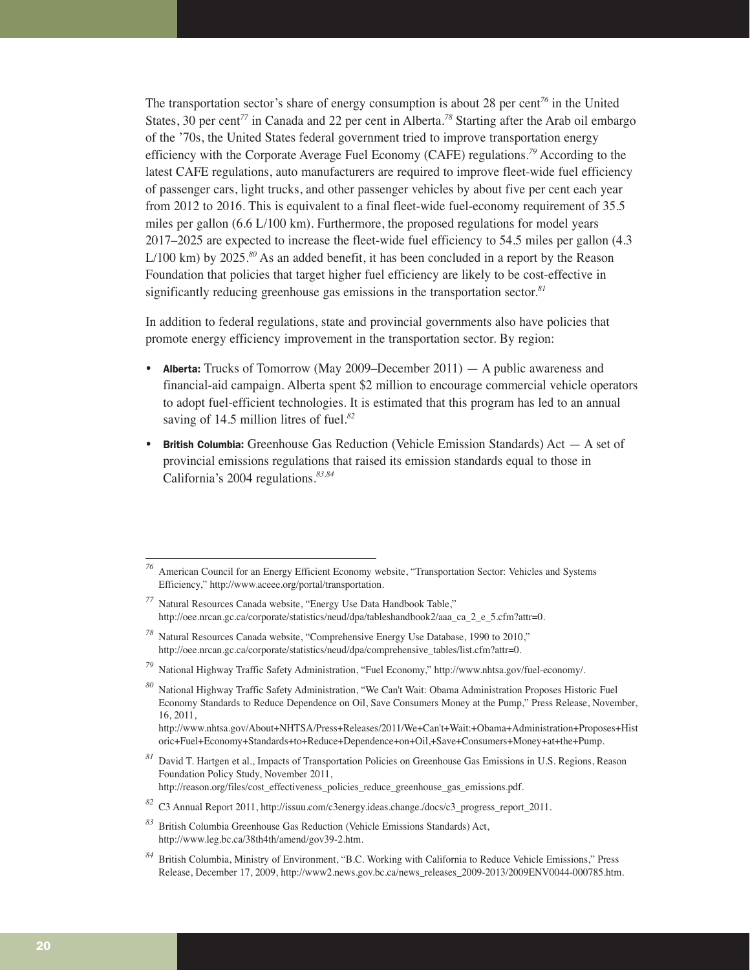The transportation sector's share of energy consumption is about 28 per cent*<sup>76</sup>* in the United States, 30 per cent*<sup>77</sup>* in Canada and 22 per cent in Alberta.*<sup>78</sup>* Starting after the Arab oil embargo of the '70s, the United States federal government tried to improve transportation energy efficiency with the Corporate Average Fuel Economy (CAFE) regulations.*<sup>79</sup>* According to the latest CAFE regulations, auto manufacturers are required to improve fleet-wide fuel efficiency of passenger cars, light trucks, and other passenger vehicles by about five per cent each year from 2012 to 2016. This is equivalent to a final fleet-wide fuel-economy requirement of 35.5 miles per gallon (6.6 L/100 km). Furthermore, the proposed regulations for model years 2017–2025 are expected to increase the fleet-wide fuel efficiency to 54.5 miles per gallon (4.3 L/100 km) by 2025.*<sup>80</sup>* As an added benefit, it has been concluded in a report by the Reason Foundation that policies that target higher fuel efficiency are likely to be cost-effective in significantly reducing greenhouse gas emissions in the transportation sector.*<sup>81</sup>*

In addition to federal regulations, state and provincial governments also have policies that promote energy efficiency improvement in the transportation sector. By region:

- Alberta: Trucks of Tomorrow (May 2009–December 2011)  $-$  A public awareness and financial-aid campaign. Alberta spent \$2 million to encourage commercial vehicle operators to adopt fuel-efficient technologies. It is estimated that this program has led to an annual saving of 14.5 million litres of fuel.*<sup>82</sup>*
- British Columbia: Greenhouse Gas Reduction (Vehicle Emission Standards) Act A set of provincial emissions regulations that raised its emission standards equal to those in California's 2004 regulations.*83,84*

*<sup>76</sup>* American Council for an Energy Efficient Economy website, "Transportation Sector: Vehicles and Systems Efficiency," http://www.aceee.org/portal/transportation.

*<sup>77</sup>* Natural Resources Canada website, "Energy Use Data Handbook Table," http://oee.nrcan.gc.ca/corporate/statistics/neud/dpa/tableshandbook2/aaa\_ca\_2\_e\_5.cfm?attr=0.

*<sup>78</sup>* Natural Resources Canada website, "Comprehensive Energy Use Database, 1990 to 2010," http://oee.nrcan.gc.ca/corporate/statistics/neud/dpa/comprehensive\_tables/list.cfm?attr=0.

*<sup>79</sup>* National Highway Traffic Safety Administration, "Fuel Economy," http://www.nhtsa.gov/fuel-economy/.

*<sup>80</sup>* National Highway Traffic Safety Administration, "We Can't Wait: Obama Administration Proposes Historic Fuel Economy Standards to Reduce Dependence on Oil, Save Consumers Money at the Pump," Press Release, November, 16, 2011,

http://www.nhtsa.gov/About+NHTSA/Press+Releases/2011/We+Can't+Wait:+Obama+Administration+Proposes+Hist oric+Fuel+Economy+Standards+to+Reduce+Dependence+on+Oil,+Save+Consumers+Money+at+the+Pump.

*<sup>81</sup>* David T. Hartgen et al., Impacts of Transportation Policies on Greenhouse Gas Emissions in U.S. Regions, Reason Foundation Policy Study, November 2011,

http://reason.org/files/cost\_effectiveness\_policies\_reduce\_greenhouse\_gas\_emissions.pdf.

*<sup>82</sup>* C3 Annual Report 2011, http://issuu.com/c3energy.ideas.change./docs/c3\_progress\_report\_2011.

*<sup>83</sup>* British Columbia Greenhouse Gas Reduction (Vehicle Emissions Standards) Act, http://www.leg.bc.ca/38th4th/amend/gov39-2.htm.

*<sup>84</sup>* British Columbia, Ministry of Environment, "B.C. Working with California to Reduce Vehicle Emissions," Press Release, December 17, 2009, http://www2.news.gov.bc.ca/news\_releases\_2009-2013/2009ENV0044-000785.htm.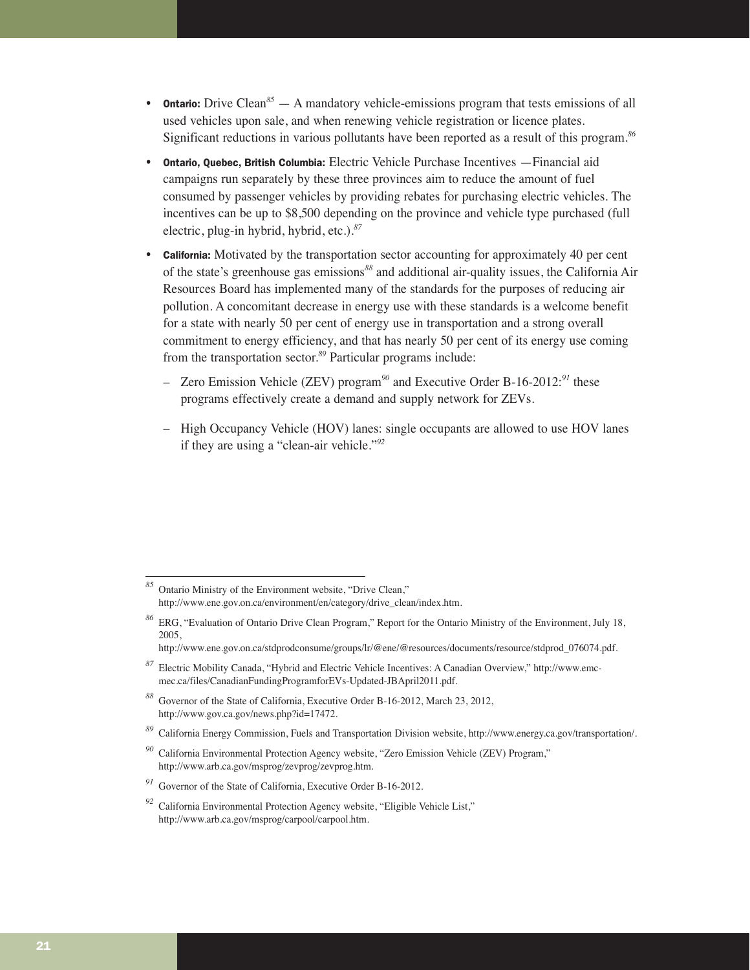- **Ontario:** Drive Clean<sup>85</sup> A mandatory vehicle-emissions program that tests emissions of all used vehicles upon sale, and when renewing vehicle registration or licence plates. Significant reductions in various pollutants have been reported as a result of this program.*<sup>86</sup>*
- Ontario, Quebec, British Columbia: Electric Vehicle Purchase Incentives —Financial aid campaigns run separately by these three provinces aim to reduce the amount of fuel consumed by passenger vehicles by providing rebates for purchasing electric vehicles. The incentives can be up to \$8,500 depending on the province and vehicle type purchased (full electric, plug-in hybrid, hybrid, etc.).*<sup>87</sup>*
- **California:** Motivated by the transportation sector accounting for approximately 40 per cent of the state's greenhouse gas emissions*<sup>88</sup>* and additional air-quality issues, the California Air Resources Board has implemented many of the standards for the purposes of reducing air pollution. A concomitant decrease in energy use with these standards is a welcome benefit for a state with nearly 50 per cent of energy use in transportation and a strong overall commitment to energy efficiency, and that has nearly 50 per cent of its energy use coming from the transportation sector.*<sup>89</sup>* Particular programs include:
	- Zero Emission Vehicle (ZEV) program*<sup>90</sup>* and Executive Order B-16-2012:*<sup>91</sup>* these programs effectively create a demand and supply network for ZEVs.
	- High Occupancy Vehicle (HOV) lanes: single occupants are allowed to use HOV lanes if they are using a "clean-air vehicle."*<sup>92</sup>*

*<sup>85</sup>* Ontario Ministry of the Environment website, "Drive Clean," http://www.ene.gov.on.ca/environment/en/category/drive\_clean/index.htm.

*<sup>86</sup>* ERG, "Evaluation of Ontario Drive Clean Program," Report for the Ontario Ministry of the Environment, July 18, 2005,

http://www.ene.gov.on.ca/stdprodconsume/groups/lr/@ene/@resources/documents/resource/stdprod\_076074.pdf.

*<sup>87</sup>* Electric Mobility Canada, "Hybrid and Electric Vehicle Incentives: A Canadian Overview," http://www.emcmec.ca/files/CanadianFundingProgramforEVs-Updated-JBApril2011.pdf.

*<sup>88</sup>* Governor of the State of California, Executive Order B-16-2012, March 23, 2012, http://www.gov.ca.gov/news.php?id=17472.

*<sup>89</sup>* California Energy Commission, Fuels and Transportation Division website, http://www.energy.ca.gov/transportation/.

*<sup>90</sup>* California Environmental Protection Agency website, "Zero Emission Vehicle (ZEV) Program," http://www.arb.ca.gov/msprog/zevprog/zevprog.htm.

*<sup>91</sup>* Governor of the State of California, Executive Order B-16-2012.

*<sup>92</sup>* California Environmental Protection Agency website, "Eligible Vehicle List," http://www.arb.ca.gov/msprog/carpool/carpool.htm.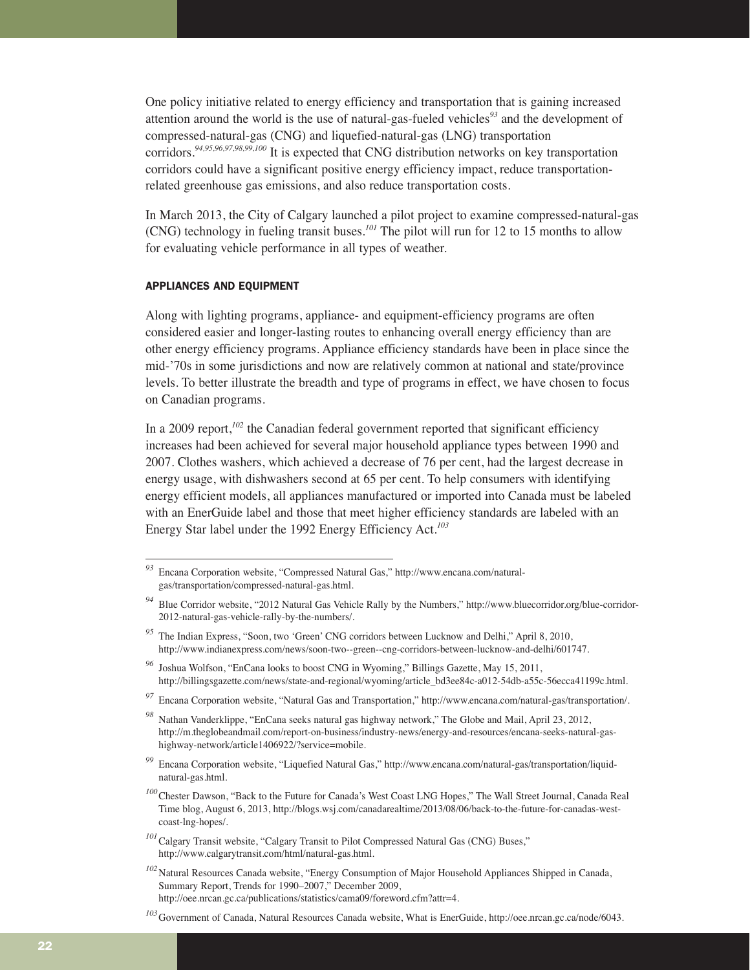One policy initiative related to energy efficiency and transportation that is gaining increased attention around the world is the use of natural-gas-fueled vehicles*<sup>93</sup>* and the development of compressed-natural-gas (CNG) and liquefied-natural-gas (LNG) transportation corridors.*94,95,96,97,98,99,100* It is expected that CNG distribution networks on key transportation corridors could have a significant positive energy efficiency impact, reduce transportationrelated greenhouse gas emissions, and also reduce transportation costs.

In March 2013, the City of Calgary launched a pilot project to examine compressed-natural-gas (CNG) technology in fueling transit buses.*<sup>101</sup>* The pilot will run for 12 to 15 months to allow for evaluating vehicle performance in all types of weather.

#### APPLIANCES AND EQUIPMENT

Along with lighting programs, appliance- and equipment-efficiency programs are often considered easier and longer-lasting routes to enhancing overall energy efficiency than are other energy efficiency programs. Appliance efficiency standards have been in place since the mid-'70s in some jurisdictions and now are relatively common at national and state/province levels. To better illustrate the breadth and type of programs in effect, we have chosen to focus on Canadian programs.

In a 2009 report,<sup>102</sup> the Canadian federal government reported that significant efficiency increases had been achieved for several major household appliance types between 1990 and 2007. Clothes washers, which achieved a decrease of 76 per cent, had the largest decrease in energy usage, with dishwashers second at 65 per cent. To help consumers with identifying energy efficient models, all appliances manufactured or imported into Canada must be labeled with an EnerGuide label and those that meet higher efficiency standards are labeled with an Energy Star label under the 1992 Energy Efficiency Act.*<sup>103</sup>*

*<sup>93</sup>* Encana Corporation website, "Compressed Natural Gas," http://www.encana.com/naturalgas/transportation/compressed-natural-gas.html.

*<sup>94</sup>* Blue Corridor website, "2012 Natural Gas Vehicle Rally by the Numbers," http://www.bluecorridor.org/blue-corridor-2012-natural-gas-vehicle-rally-by-the-numbers/.

The Indian Express, "Soon, two 'Green' CNG corridors between Lucknow and Delhi," April 8, 2010, http://www.indianexpress.com/news/soon-two--green--cng-corridors-between-lucknow-and-delhi/601747.

*<sup>96</sup>* Joshua Wolfson, "EnCana looks to boost CNG in Wyoming," Billings Gazette, May 15, 2011, http://billingsgazette.com/news/state-and-regional/wyoming/article\_bd3ee84c-a012-54db-a55c-56ecca41199c.html.

*<sup>97</sup>* Encana Corporation website, "Natural Gas and Transportation," http://www.encana.com/natural-gas/transportation/.

*<sup>98</sup>* Nathan Vanderklippe, "EnCana seeks natural gas highway network," The Globe and Mail, April 23, 2012, http://m.theglobeandmail.com/report-on-business/industry-news/energy-and-resources/encana-seeks-natural-gashighway-network/article1406922/?service=mobile.

*<sup>99</sup>* Encana Corporation website, "Liquefied Natural Gas," http://www.encana.com/natural-gas/transportation/liquidnatural-gas.html.

*<sup>100</sup>*Chester Dawson, "Back to the Future for Canada's West Coast LNG Hopes," The Wall Street Journal, Canada Real Time blog, August 6, 2013, http://blogs.wsj.com/canadarealtime/2013/08/06/back-to-the-future-for-canadas-westcoast-lng-hopes/.

<sup>&</sup>lt;sup>101</sup>Calgary Transit website, "Calgary Transit to Pilot Compressed Natural Gas (CNG) Buses," http://www.calgarytransit.com/html/natural-gas.html.

<sup>&</sup>lt;sup>102</sup>Natural Resources Canada website, "Energy Consumption of Major Household Appliances Shipped in Canada, Summary Report, Trends for 1990–2007," December 2009, http://oee.nrcan.gc.ca/publications/statistics/cama09/foreword.cfm?attr=4.

*<sup>103</sup>*Government of Canada, Natural Resources Canada website, What is EnerGuide, http://oee.nrcan.gc.ca/node/6043.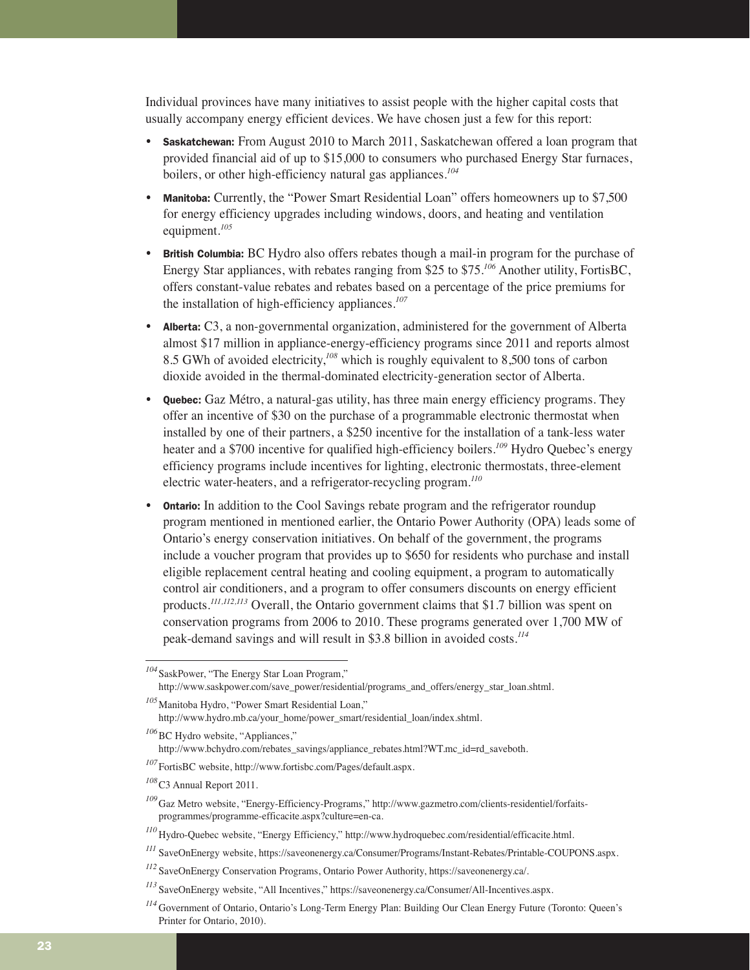Individual provinces have many initiatives to assist people with the higher capital costs that usually accompany energy efficient devices. We have chosen just a few for this report:

- Saskatchewan: From August 2010 to March 2011, Saskatchewan offered a loan program that provided financial aid of up to \$15,000 to consumers who purchased Energy Star furnaces, boilers, or other high-efficiency natural gas appliances.*<sup>104</sup>*
- Manitoba: Currently, the "Power Smart Residential Loan" offers homeowners up to \$7,500 for energy efficiency upgrades including windows, doors, and heating and ventilation equipment.*<sup>105</sup>*
- **British Columbia:** BC Hydro also offers rebates though a mail-in program for the purchase of Energy Star appliances, with rebates ranging from \$25 to \$75.*<sup>106</sup>* Another utility, FortisBC, offers constant-value rebates and rebates based on a percentage of the price premiums for the installation of high-efficiency appliances.*<sup>107</sup>*
- Alberta: C3, a non-governmental organization, administered for the government of Alberta almost \$17 million in appliance-energy-efficiency programs since 2011 and reports almost 8.5 GWh of avoided electricity,*<sup>108</sup>* which is roughly equivalent to 8,500 tons of carbon dioxide avoided in the thermal-dominated electricity-generation sector of Alberta.
- Quebec: Gaz Métro, a natural-gas utility, has three main energy efficiency programs. They offer an incentive of \$30 on the purchase of a programmable electronic thermostat when installed by one of their partners, a \$250 incentive for the installation of a tank-less water heater and a \$700 incentive for qualified high-efficiency boilers.*<sup>109</sup>* Hydro Quebec's energy efficiency programs include incentives for lighting, electronic thermostats, three-element electric water-heaters, and a refrigerator-recycling program.*<sup>110</sup>*
- **Ontario:** In addition to the Cool Savings rebate program and the refrigerator roundup program mentioned in mentioned earlier, the Ontario Power Authority (OPA) leads some of Ontario's energy conservation initiatives. On behalf of the government, the programs include a voucher program that provides up to \$650 for residents who purchase and install eligible replacement central heating and cooling equipment, a program to automatically control air conditioners, and a program to offer consumers discounts on energy efficient products.*111,112,113* Overall, the Ontario government claims that \$1.7 billion was spent on conservation programs from 2006 to 2010. These programs generated over 1,700 MW of peak-demand savings and will result in \$3.8 billion in avoided costs.*<sup>114</sup>*

*<sup>104</sup>*SaskPower, "The Energy Star Loan Program," http://www.saskpower.com/save\_power/residential/programs\_and\_offers/energy\_star\_loan.shtml.

*<sup>105</sup>*Manitoba Hydro, "Power Smart Residential Loan," http://www.hydro.mb.ca/your\_home/power\_smart/residential\_loan/index.shtml.

<sup>&</sup>lt;sup>106</sup>BC Hydro website, "Appliances,"

http://www.bchydro.com/rebates\_savings/appliance\_rebates.html?WT.mc\_id=rd\_saveboth.

*<sup>107</sup>*FortisBC website, http://www.fortisbc.com/Pages/default.aspx.

*<sup>108</sup>*C3 Annual Report 2011.

*<sup>109</sup>*Gaz Metro website, "Energy-Efficiency-Programs," http://www.gazmetro.com/clients-residentiel/forfaitsprogrammes/programme-efficacite.aspx?culture=en-ca.

*<sup>110</sup>* Hydro-Quebec website, "Energy Efficiency," http://www.hydroquebec.com/residential/efficacite.html.

*<sup>111</sup>* SaveOnEnergy website, https://saveonenergy.ca/Consumer/Programs/Instant-Rebates/Printable-COUPONS.aspx.

*<sup>112</sup>* SaveOnEnergy Conservation Programs, Ontario Power Authority, https://saveonenergy.ca/.

*<sup>113</sup>* SaveOnEnergy website, "All Incentives," https://saveonenergy.ca/Consumer/All-Incentives.aspx.

*<sup>114</sup>* Government of Ontario, Ontario's Long-Term Energy Plan: Building Our Clean Energy Future (Toronto: Queen's Printer for Ontario, 2010).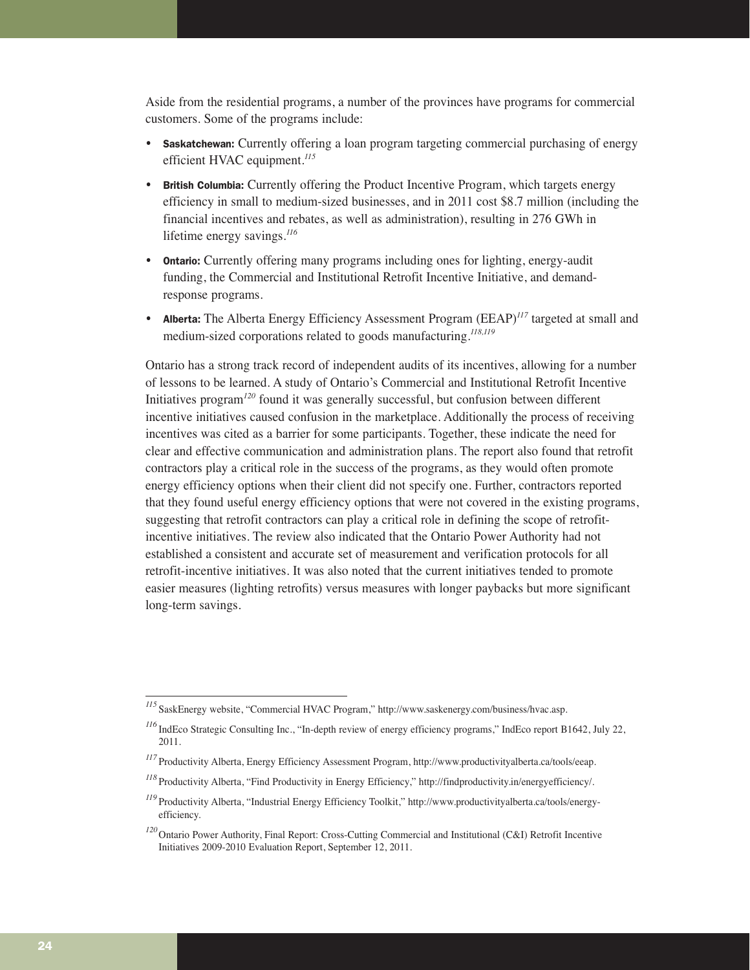Aside from the residential programs, a number of the provinces have programs for commercial customers. Some of the programs include:

- **Saskatchewan:** Currently offering a loan program targeting commercial purchasing of energy efficient HVAC equipment.*<sup>115</sup>*
- British Columbia: Currently offering the Product Incentive Program, which targets energy efficiency in small to medium-sized businesses, and in 2011 cost \$8.7 million (including the financial incentives and rebates, as well as administration), resulting in 276 GWh in lifetime energy savings.*<sup>116</sup>*
- Ontario: Currently offering many programs including ones for lighting, energy-audit funding, the Commercial and Institutional Retrofit Incentive Initiative, and demandresponse programs.
- **Alberta:** The Alberta Energy Efficiency Assessment Program (EEAP)<sup>117</sup> targeted at small and medium-sized corporations related to goods manufacturing.*118,119*

Ontario has a strong track record of independent audits of its incentives, allowing for a number of lessons to be learned. A study of Ontario's Commercial and Institutional Retrofit Incentive Initiatives program*<sup>120</sup>* found it was generally successful, but confusion between different incentive initiatives caused confusion in the marketplace. Additionally the process of receiving incentives was cited as a barrier for some participants. Together, these indicate the need for clear and effective communication and administration plans. The report also found that retrofit contractors play a critical role in the success of the programs, as they would often promote energy efficiency options when their client did not specify one. Further, contractors reported that they found useful energy efficiency options that were not covered in the existing programs, suggesting that retrofit contractors can play a critical role in defining the scope of retrofitincentive initiatives. The review also indicated that the Ontario Power Authority had not established a consistent and accurate set of measurement and verification protocols for all retrofit-incentive initiatives. It was also noted that the current initiatives tended to promote easier measures (lighting retrofits) versus measures with longer paybacks but more significant long-term savings.

*<sup>115</sup>* SaskEnergy website, "Commercial HVAC Program," http://www.saskenergy.com/business/hvac.asp.

*<sup>116</sup>* IndEco Strategic Consulting Inc., "In-depth review of energy efficiency programs," IndEco report B1642, July 22, 2011.

*<sup>117</sup>* Productivity Alberta, Energy Efficiency Assessment Program, http://www.productivityalberta.ca/tools/eeap.

*<sup>118</sup>* Productivity Alberta, "Find Productivity in Energy Efficiency," http://findproductivity.in/energyefficiency/.

*<sup>119</sup>* Productivity Alberta, "Industrial Energy Efficiency Toolkit," http://www.productivityalberta.ca/tools/energyefficiency.

*<sup>120</sup>*Ontario Power Authority, Final Report: Cross-Cutting Commercial and Institutional (C&I) Retrofit Incentive Initiatives 2009-2010 Evaluation Report, September 12, 2011.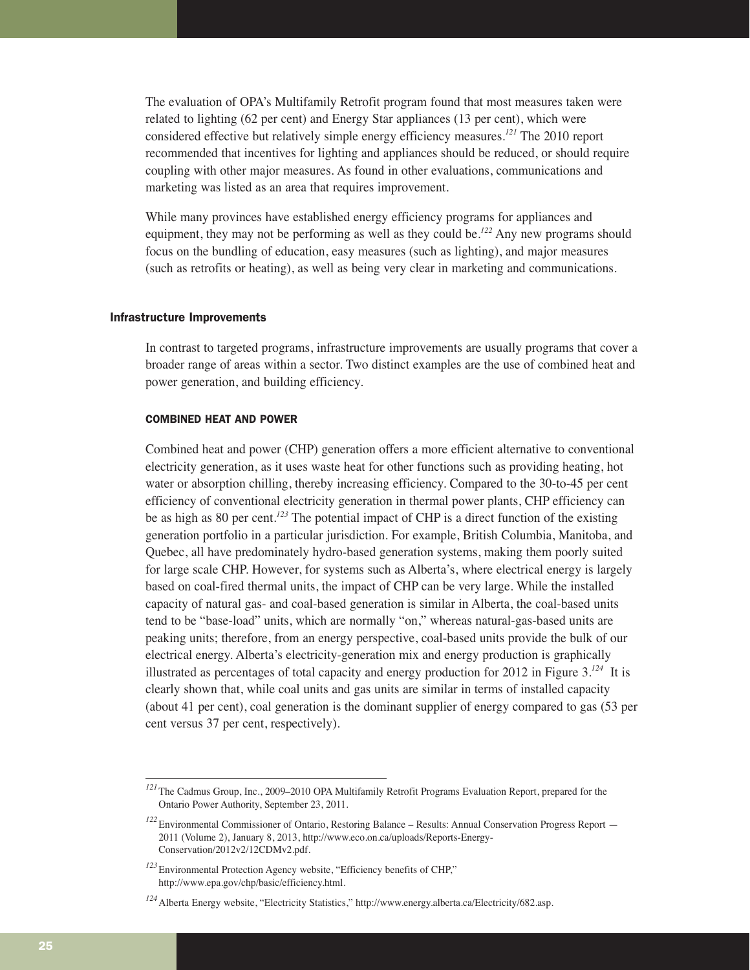The evaluation of OPA's Multifamily Retrofit program found that most measures taken were related to lighting (62 per cent) and Energy Star appliances (13 per cent), which were considered effective but relatively simple energy efficiency measures.*<sup>121</sup>* The 2010 report recommended that incentives for lighting and appliances should be reduced, or should require coupling with other major measures. As found in other evaluations, communications and marketing was listed as an area that requires improvement.

While many provinces have established energy efficiency programs for appliances and equipment, they may not be performing as well as they could be.*<sup>122</sup>* Any new programs should focus on the bundling of education, easy measures (such as lighting), and major measures (such as retrofits or heating), as well as being very clear in marketing and communications.

#### Infrastructure Improvements

In contrast to targeted programs, infrastructure improvements are usually programs that cover a broader range of areas within a sector. Two distinct examples are the use of combined heat and power generation, and building efficiency.

#### COMBINED HEAT AND POWER

Combined heat and power (CHP) generation offers a more efficient alternative to conventional electricity generation, as it uses waste heat for other functions such as providing heating, hot water or absorption chilling, thereby increasing efficiency. Compared to the 30-to-45 per cent efficiency of conventional electricity generation in thermal power plants, CHP efficiency can be as high as 80 per cent.*<sup>123</sup>* The potential impact of CHP is a direct function of the existing generation portfolio in a particular jurisdiction. For example, British Columbia, Manitoba, and Quebec, all have predominately hydro-based generation systems, making them poorly suited for large scale CHP. However, for systems such as Alberta's, where electrical energy is largely based on coal-fired thermal units, the impact of CHP can be very large. While the installed capacity of natural gas- and coal-based generation is similar in Alberta, the coal-based units tend to be "base-load" units, which are normally "on," whereas natural-gas-based units are peaking units; therefore, from an energy perspective, coal-based units provide the bulk of our electrical energy. Alberta's electricity-generation mix and energy production is graphically illustrated as percentages of total capacity and energy production for 2012 in Figure 3.*<sup>124</sup>* It is clearly shown that, while coal units and gas units are similar in terms of installed capacity (about 41 per cent), coal generation is the dominant supplier of energy compared to gas (53 per cent versus 37 per cent, respectively).

*<sup>121</sup>*The Cadmus Group, Inc., 2009–2010 OPA Multifamily Retrofit Programs Evaluation Report, prepared for the Ontario Power Authority, September 23, 2011.

*<sup>122</sup>*Environmental Commissioner of Ontario, Restoring Balance – Results: Annual Conservation Progress Report — 2011 (Volume 2), January 8, 2013, http://www.eco.on.ca/uploads/Reports-Energy-Conservation/2012v2/12CDMv2.pdf.

*<sup>123</sup>*Environmental Protection Agency website, "Efficiency benefits of CHP," http://www.epa.gov/chp/basic/efficiency.html.

*<sup>124</sup>*Alberta Energy website, "Electricity Statistics," http://www.energy.alberta.ca/Electricity/682.asp.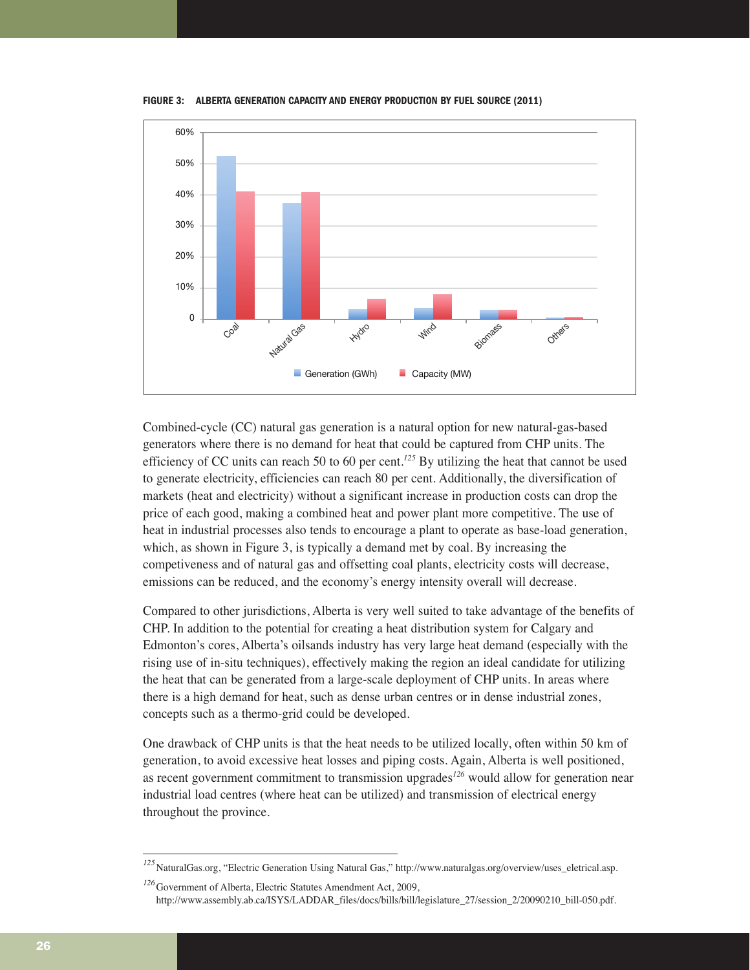**FIGURE 3: ALBERTA GENERATION CAPACITY AND ENERGY PRODUCTION BY FUEL SOURCE (2011)**



Combined-cycle (CC) natural gas generation is a natural option for new natural-gas-based generators where there is no demand for heat that could be captured from CHP units. The efficiency of CC units can reach 50 to 60 per cent.*<sup>125</sup>* By utilizing the heat that cannot be used to generate electricity, efficiencies can reach 80 per cent. Additionally, the diversification of markets (heat and electricity) without a significant increase in production costs can drop the price of each good, making a combined heat and power plant more competitive. The use of heat in industrial processes also tends to encourage a plant to operate as base-load generation, which, as shown in Figure 3, is typically a demand met by coal. By increasing the competiveness and of natural gas and offsetting coal plants, electricity costs will decrease, emissions can be reduced, and the economy's energy intensity overall will decrease.

Compared to other jurisdictions, Alberta is very well suited to take advantage of the benefits of CHP. In addition to the potential for creating a heat distribution system for Calgary and Edmonton's cores, Alberta's oilsands industry has very large heat demand (especially with the rising use of in-situ techniques), effectively making the region an ideal candidate for utilizing the heat that can be generated from a large-scale deployment of CHP units. In areas where there is a high demand for heat, such as dense urban centres or in dense industrial zones, concepts such as a thermo-grid could be developed.

One drawback of CHP units is that the heat needs to be utilized locally, often within 50 km of generation, to avoid excessive heat losses and piping costs. Again, Alberta is well positioned, as recent government commitment to transmission upgrades*<sup>126</sup>* would allow for generation near industrial load centres (where heat can be utilized) and transmission of electrical energy throughout the province.

*<sup>125</sup>*NaturalGas.org, "Electric Generation Using Natural Gas," http://www.naturalgas.org/overview/uses\_eletrical.asp.

*<sup>126</sup>*Government of Alberta, Electric Statutes Amendment Act, 2009, http://www.assembly.ab.ca/ISYS/LADDAR\_files/docs/bills/bill/legislature\_27/session\_2/20090210\_bill-050.pdf.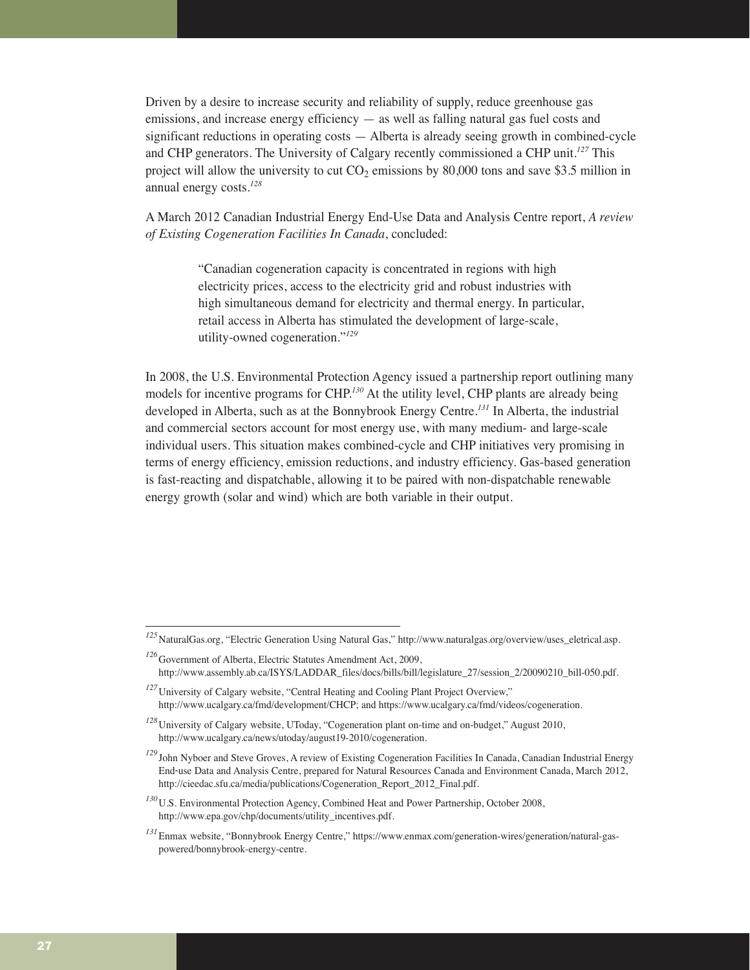Driven by a desire to increase security and reliability of supply, reduce greenhouse gas emissions, and increase energy efficiency  $-$  as well as falling natural gas fuel costs and significant reductions in operating costs — Alberta is already seeing growth in combined-cycle and CHP generators. The University of Calgary recently commissioned a CHP unit.*<sup>127</sup>* This project will allow the university to cut  $CO<sub>2</sub>$  emissions by 80,000 tons and save \$3.5 million in annual energy costs.*<sup>128</sup>*

A March 2012 Canadian Industrial Energy End-Use Data and Analysis Centre report, *A review of Existing Cogeneration Facilities In Canada*, concluded:

> "Canadian cogeneration capacity is concentrated in regions with high electricity prices, access to the electricity grid and robust industries with high simultaneous demand for electricity and thermal energy. In particular, retail access in Alberta has stimulated the development of large-scale, utility-owned cogeneration."*<sup>129</sup>*

In 2008, the U.S. Environmental Protection Agency issued a partnership report outlining many models for incentive programs for CHP.*<sup>130</sup>* At the utility level, CHP plants are already being developed in Alberta, such as at the Bonnybrook Energy Centre.*<sup>131</sup>* In Alberta, the industrial and commercial sectors account for most energy use, with many medium- and large-scale individual users. This situation makes combined-cycle and CHP initiatives very promising in terms of energy efficiency, emission reductions, and industry efficiency. Gas-based generation is fast-reacting and dispatchable, allowing it to be paired with non-dispatchable renewable energy growth (solar and wind) which are both variable in their output.

*<sup>125</sup>*NaturalGas.org, "Electric Generation Using Natural Gas," http://www.naturalgas.org/overview/uses\_eletrical.asp.

*<sup>126</sup>*Government of Alberta, Electric Statutes Amendment Act, 2009, http://www.assembly.ab.ca/ISYS/LADDAR\_files/docs/bills/bill/legislature\_27/session\_2/20090210\_bill-050.pdf.

*<sup>127</sup>*University of Calgary website, "Central Heating and Cooling Plant Project Overview," http://www.ucalgary.ca/fmd/development/CHCP; and https://www.ucalgary.ca/fmd/videos/cogeneration.

*<sup>128</sup>*University of Calgary website, UToday, "Cogeneration plant on-time and on-budget," August 2010, http://www.ucalgary.ca/news/utoday/august19-2010/cogeneration.

*<sup>129</sup>* John Nyboer and Steve Groves, A review of Existing Cogeneration Facilities In Canada, Canadian Industrial Energy End‐use Data and Analysis Centre, prepared for Natural Resources Canada and Environment Canada, March 2012, http://cieedac.sfu.ca/media/publications/Cogeneration\_Report\_2012\_Final.pdf.

*<sup>130</sup>*U.S. Environmental Protection Agency, Combined Heat and Power Partnership, October 2008, http://www.epa.gov/chp/documents/utility\_incentives.pdf.

*<sup>131</sup>*Enmax website, "Bonnybrook Energy Centre," https://www.enmax.com/generation-wires/generation/natural-gaspowered/bonnybrook-energy-centre.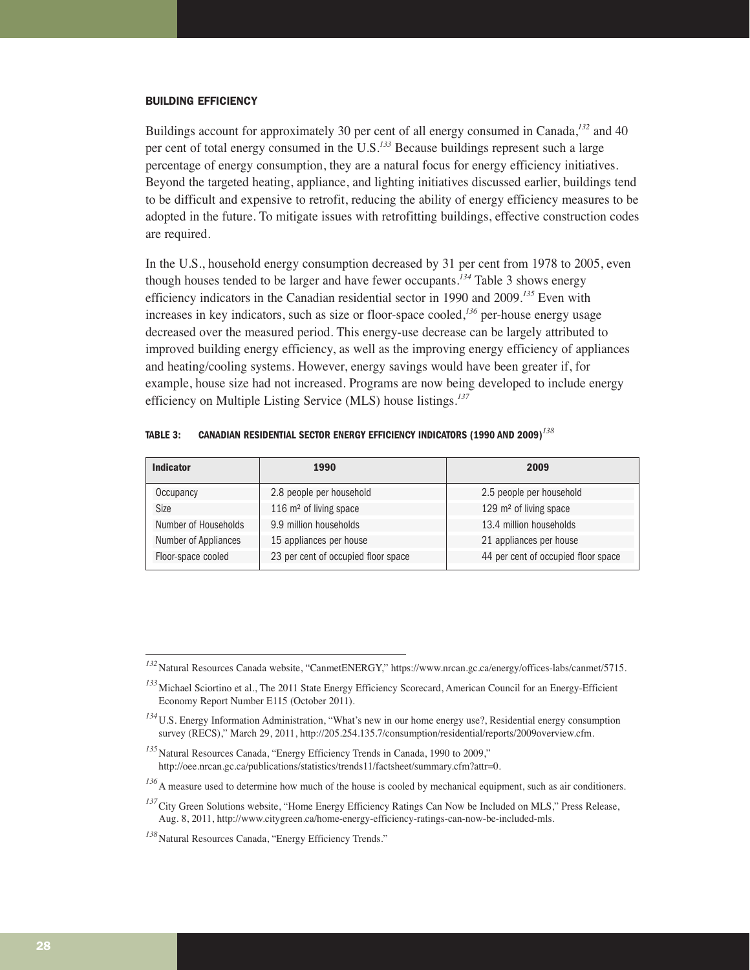#### BUILDING EFFICIENCY

Buildings account for approximately 30 per cent of all energy consumed in Canada,*<sup>132</sup>* and 40 per cent of total energy consumed in the U.S.*<sup>133</sup>* Because buildings represent such a large percentage of energy consumption, they are a natural focus for energy efficiency initiatives. Beyond the targeted heating, appliance, and lighting initiatives discussed earlier, buildings tend to be difficult and expensive to retrofit, reducing the ability of energy efficiency measures to be adopted in the future. To mitigate issues with retrofitting buildings, effective construction codes are required.

In the U.S., household energy consumption decreased by 31 per cent from 1978 to 2005, even though houses tended to be larger and have fewer occupants.*<sup>134</sup>* Table 3 shows energy efficiency indicators in the Canadian residential sector in 1990 and 2009.*<sup>135</sup>* Even with increases in key indicators, such as size or floor-space cooled,*<sup>136</sup>* per-house energy usage decreased over the measured period. This energy-use decrease can be largely attributed to improved building energy efficiency, as well as the improving energy efficiency of appliances and heating/cooling systems. However, energy savings would have been greater if, for example, house size had not increased. Programs are now being developed to include energy efficiency on Multiple Listing Service (MLS) house listings.*<sup>137</sup>*

| <b>Indicator</b>     | 1990                                | 2009                                |  |  |
|----------------------|-------------------------------------|-------------------------------------|--|--|
| Occupancy            | 2.8 people per household            | 2.5 people per household            |  |  |
| Size                 | 116 m <sup>2</sup> of living space  | 129 m <sup>2</sup> of living space  |  |  |
| Number of Households | 9.9 million households              | 13.4 million households             |  |  |
| Number of Appliances | 15 appliances per house             | 21 appliances per house             |  |  |
| Floor-space cooled   | 23 per cent of occupied floor space | 44 per cent of occupied floor space |  |  |

**TABLE 3: CANADIAN RESIDENTIAL SECTOR ENERGY EFFICIENCY INDICATORS (1990 AND 2009)***<sup>138</sup>*

*<sup>132</sup>*Natural Resources Canada website, "CanmetENERGY," https://www.nrcan.gc.ca/energy/offices-labs/canmet/5715.

*<sup>133</sup>*Michael Sciortino et al., The 2011 State Energy Efficiency Scorecard, American Council for an Energy-Efficient Economy Report Number E115 (October 2011).

*<sup>134</sup>*U.S. Energy Information Administration, "What's new in our home energy use?, Residential energy consumption survey (RECS)," March 29, 2011, http://205.254.135.7/consumption/residential/reports/2009overview.cfm.

<sup>&</sup>lt;sup>135</sup>Natural Resources Canada, "Energy Efficiency Trends in Canada, 1990 to 2009," http://oee.nrcan.gc.ca/publications/statistics/trends11/factsheet/summary.cfm?attr=0.

*<sup>136</sup>*A measure used to determine how much of the house is cooled by mechanical equipment, such as air conditioners.

<sup>&</sup>lt;sup>137</sup>City Green Solutions website, "Home Energy Efficiency Ratings Can Now be Included on MLS," Press Release, Aug. 8, 2011, http://www.citygreen.ca/home-energy-efficiency-ratings-can-now-be-included-mls.

*<sup>138</sup>*Natural Resources Canada, "Energy Efficiency Trends."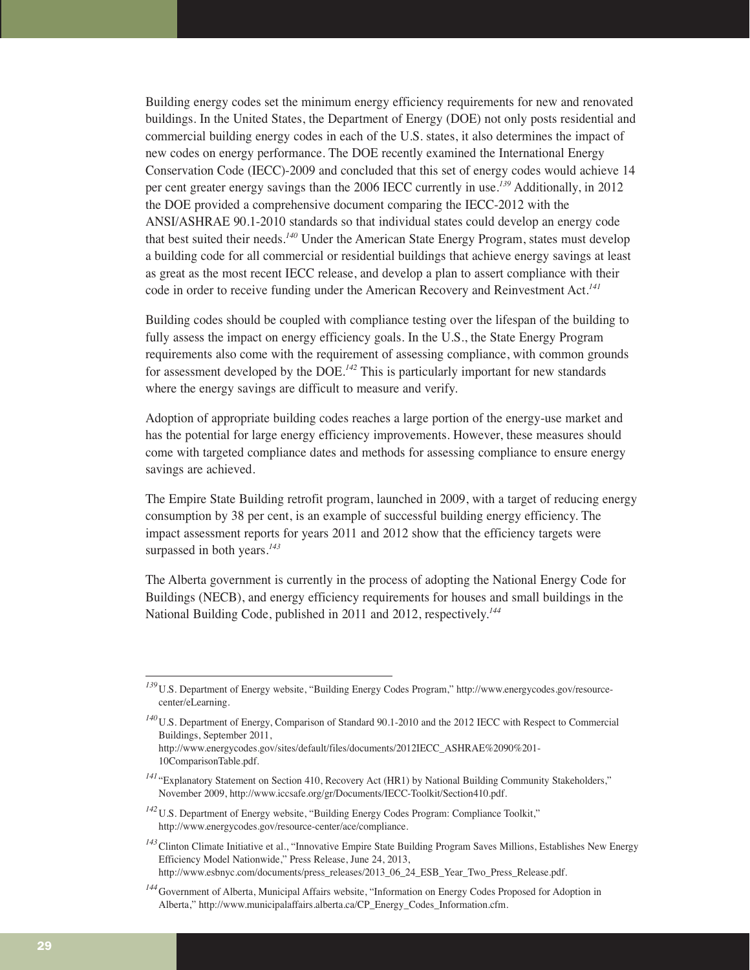Building energy codes set the minimum energy efficiency requirements for new and renovated buildings. In the United States, the Department of Energy (DOE) not only posts residential and commercial building energy codes in each of the U.S. states, it also determines the impact of new codes on energy performance. The DOE recently examined the International Energy Conservation Code (IECC)-2009 and concluded that this set of energy codes would achieve 14 per cent greater energy savings than the 2006 IECC currently in use.*<sup>139</sup>* Additionally, in 2012 the DOE provided a comprehensive document comparing the IECC-2012 with the ANSI/ASHRAE 90.1-2010 standards so that individual states could develop an energy code that best suited their needs.*<sup>140</sup>* Under the American State Energy Program, states must develop a building code for all commercial or residential buildings that achieve energy savings at least as great as the most recent IECC release, and develop a plan to assert compliance with their code in order to receive funding under the American Recovery and Reinvestment Act.*<sup>141</sup>*

Building codes should be coupled with compliance testing over the lifespan of the building to fully assess the impact on energy efficiency goals. In the U.S., the State Energy Program requirements also come with the requirement of assessing compliance, with common grounds for assessment developed by the DOE.*<sup>142</sup>* This is particularly important for new standards where the energy savings are difficult to measure and verify.

Adoption of appropriate building codes reaches a large portion of the energy-use market and has the potential for large energy efficiency improvements. However, these measures should come with targeted compliance dates and methods for assessing compliance to ensure energy savings are achieved.

The Empire State Building retrofit program, launched in 2009, with a target of reducing energy consumption by 38 per cent, is an example of successful building energy efficiency. The impact assessment reports for years 2011 and 2012 show that the efficiency targets were surpassed in both years.*<sup>143</sup>*

The Alberta government is currently in the process of adopting the National Energy Code for Buildings (NECB), and energy efficiency requirements for houses and small buildings in the National Building Code, published in 2011 and 2012, respectively.*<sup>144</sup>*

*<sup>143</sup>*Clinton Climate Initiative et al., "Innovative Empire State Building Program Saves Millions, Establishes New Energy Efficiency Model Nationwide," Press Release, June 24, 2013, http://www.esbnyc.com/documents/press\_releases/2013\_06\_24\_ESB\_Year\_Two\_Press\_Release.pdf.

*<sup>139</sup>*U.S. Department of Energy website, "Building Energy Codes Program," http://www.energycodes.gov/resourcecenter/eLearning.

*<sup>140</sup>*U.S. Department of Energy, Comparison of Standard 90.1-2010 and the 2012 IECC with Respect to Commercial Buildings, September 2011,

http://www.energycodes.gov/sites/default/files/documents/2012IECC\_ASHRAE%2090%201- 10ComparisonTable.pdf.

<sup>&</sup>lt;sup>141</sup> "Explanatory Statement on Section 410, Recovery Act (HR1) by National Building Community Stakeholders," November 2009, http://www.iccsafe.org/gr/Documents/IECC-Toolkit/Section410.pdf.

<sup>&</sup>lt;sup>142</sup>U.S. Department of Energy website, "Building Energy Codes Program: Compliance Toolkit," http://www.energycodes.gov/resource-center/ace/compliance.

*<sup>144</sup>*Government of Alberta, Municipal Affairs website, "Information on Energy Codes Proposed for Adoption in Alberta," http://www.municipalaffairs.alberta.ca/CP\_Energy\_Codes\_Information.cfm.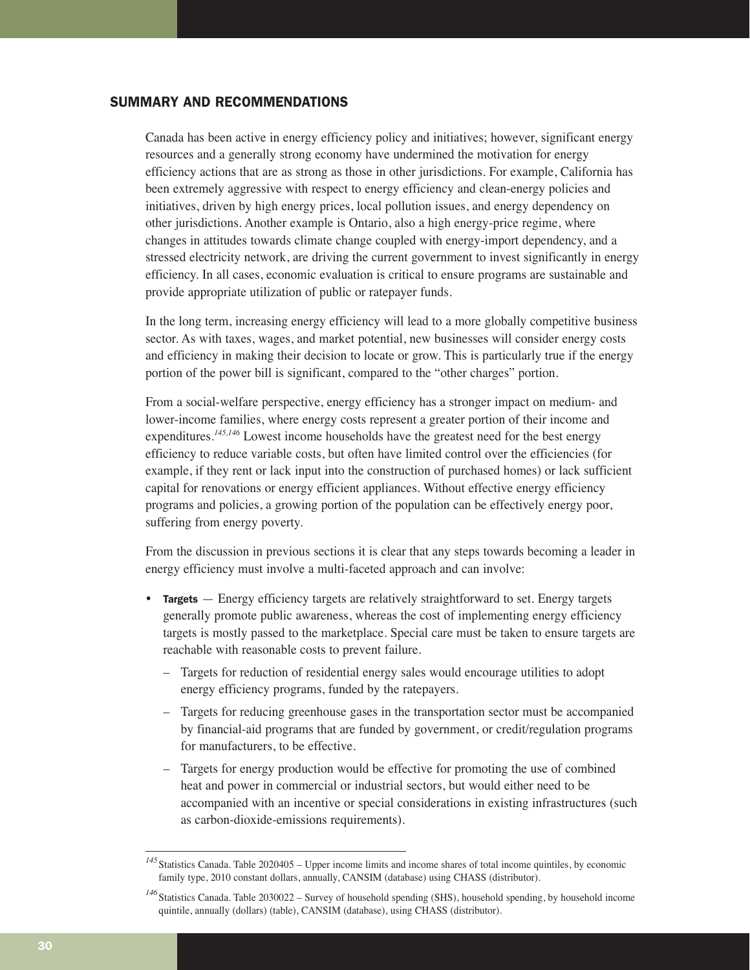## SUMMARY AND RECOMMENDATIONS

Canada has been active in energy efficiency policy and initiatives; however, significant energy resources and a generally strong economy have undermined the motivation for energy efficiency actions that are as strong as those in other jurisdictions. For example, California has been extremely aggressive with respect to energy efficiency and clean-energy policies and initiatives, driven by high energy prices, local pollution issues, and energy dependency on other jurisdictions. Another example is Ontario, also a high energy-price regime, where changes in attitudes towards climate change coupled with energy-import dependency, and a stressed electricity network, are driving the current government to invest significantly in energy efficiency. In all cases, economic evaluation is critical to ensure programs are sustainable and provide appropriate utilization of public or ratepayer funds.

In the long term, increasing energy efficiency will lead to a more globally competitive business sector. As with taxes, wages, and market potential, new businesses will consider energy costs and efficiency in making their decision to locate or grow. This is particularly true if the energy portion of the power bill is significant, compared to the "other charges" portion.

From a social-welfare perspective, energy efficiency has a stronger impact on medium- and lower-income families, where energy costs represent a greater portion of their income and expenditures.*145,146* Lowest income households have the greatest need for the best energy efficiency to reduce variable costs, but often have limited control over the efficiencies (for example, if they rent or lack input into the construction of purchased homes) or lack sufficient capital for renovations or energy efficient appliances. Without effective energy efficiency programs and policies, a growing portion of the population can be effectively energy poor, suffering from energy poverty.

From the discussion in previous sections it is clear that any steps towards becoming a leader in energy efficiency must involve a multi-faceted approach and can involve:

- Targets Energy efficiency targets are relatively straightforward to set. Energy targets generally promote public awareness, whereas the cost of implementing energy efficiency targets is mostly passed to the marketplace. Special care must be taken to ensure targets are reachable with reasonable costs to prevent failure.
	- Targets for reduction of residential energy sales would encourage utilities to adopt energy efficiency programs, funded by the ratepayers.
	- Targets for reducing greenhouse gases in the transportation sector must be accompanied by financial-aid programs that are funded by government, or credit/regulation programs for manufacturers, to be effective.
	- Targets for energy production would be effective for promoting the use of combined heat and power in commercial or industrial sectors, but would either need to be accompanied with an incentive or special considerations in existing infrastructures (such as carbon-dioxide-emissions requirements).

*<sup>145</sup>*Statistics Canada. Table 2020405 – Upper income limits and income shares of total income quintiles, by economic family type, 2010 constant dollars, annually, CANSIM (database) using CHASS (distributor).

*<sup>146</sup>*Statistics Canada. Table 2030022 – Survey of household spending (SHS), household spending, by household income quintile, annually (dollars) (table), CANSIM (database), using CHASS (distributor).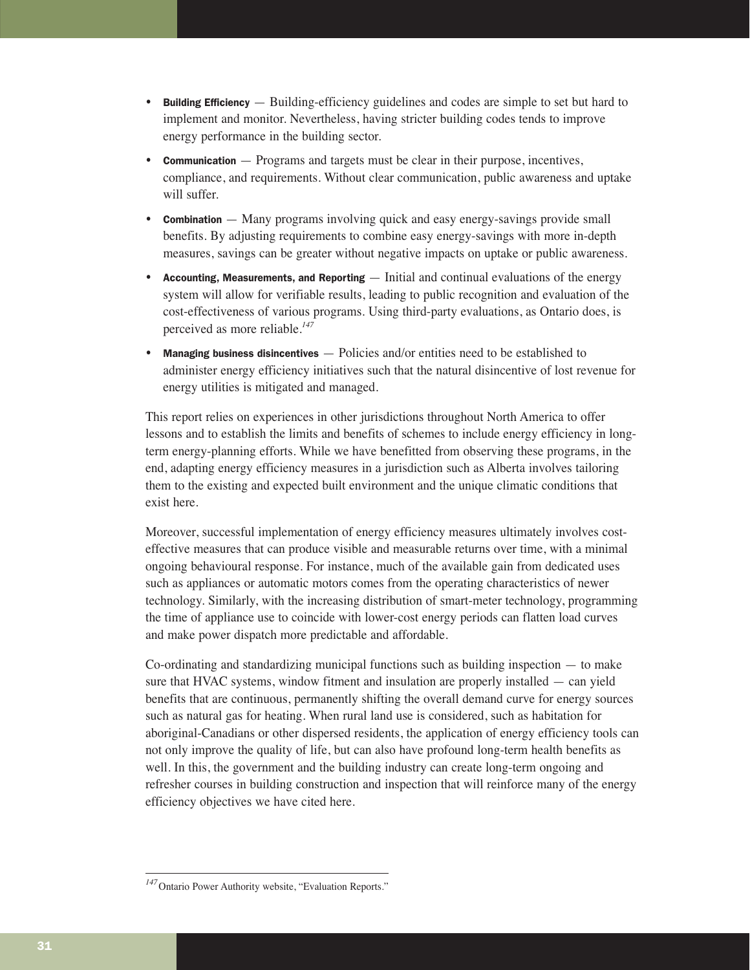- Building Efficiency Building-efficiency guidelines and codes are simple to set but hard to implement and monitor. Nevertheless, having stricter building codes tends to improve energy performance in the building sector.
- **Communication** Programs and targets must be clear in their purpose, incentives, compliance, and requirements. Without clear communication, public awareness and uptake will suffer.
- **Combination** Many programs involving quick and easy energy-savings provide small benefits. By adjusting requirements to combine easy energy-savings with more in-depth measures, savings can be greater without negative impacts on uptake or public awareness.
- Accounting, Measurements, and Reporting  $-$  Initial and continual evaluations of the energy system will allow for verifiable results, leading to public recognition and evaluation of the cost-effectiveness of various programs. Using third-party evaluations, as Ontario does, is perceived as more reliable.*<sup>147</sup>*
- **Managing business disincentives**  $-$  Policies and/or entities need to be established to administer energy efficiency initiatives such that the natural disincentive of lost revenue for energy utilities is mitigated and managed.

This report relies on experiences in other jurisdictions throughout North America to offer lessons and to establish the limits and benefits of schemes to include energy efficiency in longterm energy-planning efforts. While we have benefitted from observing these programs, in the end, adapting energy efficiency measures in a jurisdiction such as Alberta involves tailoring them to the existing and expected built environment and the unique climatic conditions that exist here.

Moreover, successful implementation of energy efficiency measures ultimately involves costeffective measures that can produce visible and measurable returns over time, with a minimal ongoing behavioural response. For instance, much of the available gain from dedicated uses such as appliances or automatic motors comes from the operating characteristics of newer technology. Similarly, with the increasing distribution of smart-meter technology, programming the time of appliance use to coincide with lower-cost energy periods can flatten load curves and make power dispatch more predictable and affordable.

Co-ordinating and standardizing municipal functions such as building inspection — to make sure that HVAC systems, window fitment and insulation are properly installed — can yield benefits that are continuous, permanently shifting the overall demand curve for energy sources such as natural gas for heating. When rural land use is considered, such as habitation for aboriginal-Canadians or other dispersed residents, the application of energy efficiency tools can not only improve the quality of life, but can also have profound long-term health benefits as well. In this, the government and the building industry can create long-term ongoing and refresher courses in building construction and inspection that will reinforce many of the energy efficiency objectives we have cited here.

*<sup>147</sup>*Ontario Power Authority website, "Evaluation Reports."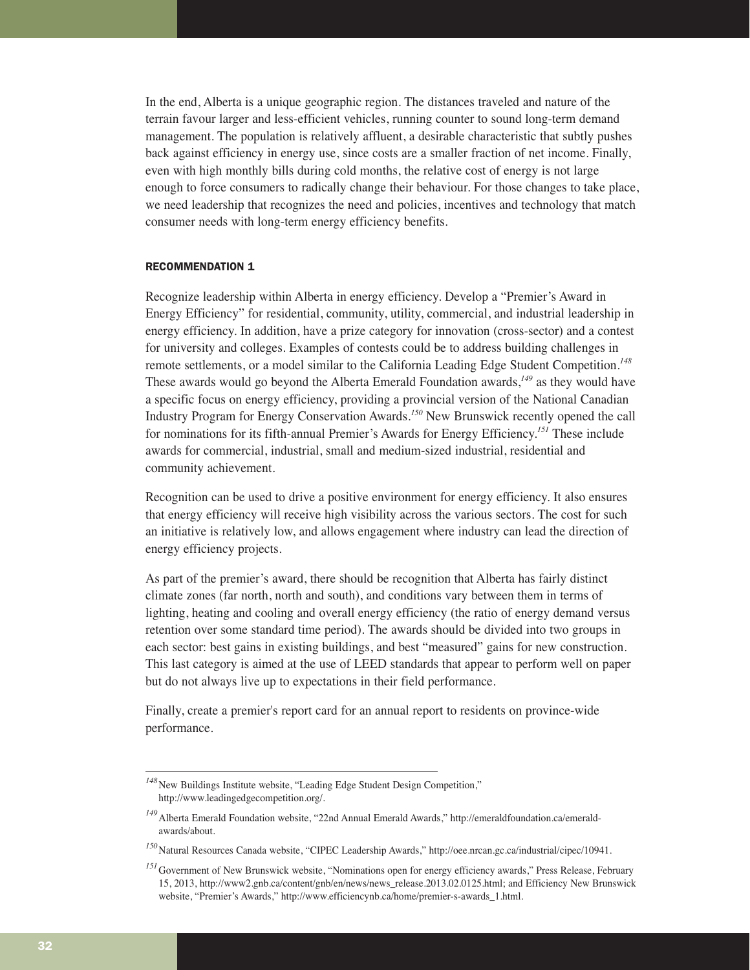In the end, Alberta is a unique geographic region. The distances traveled and nature of the terrain favour larger and less-efficient vehicles, running counter to sound long-term demand management. The population is relatively affluent, a desirable characteristic that subtly pushes back against efficiency in energy use, since costs are a smaller fraction of net income. Finally, even with high monthly bills during cold months, the relative cost of energy is not large enough to force consumers to radically change their behaviour. For those changes to take place, we need leadership that recognizes the need and policies, incentives and technology that match consumer needs with long-term energy efficiency benefits.

## RECOMMENDATION 1

Recognize leadership within Alberta in energy efficiency. Develop a "Premier's Award in Energy Efficiency" for residential, community, utility, commercial, and industrial leadership in energy efficiency. In addition, have a prize category for innovation (cross-sector) and a contest for university and colleges. Examples of contests could be to address building challenges in remote settlements, or a model similar to the California Leading Edge Student Competition.*<sup>148</sup>* These awards would go beyond the Alberta Emerald Foundation awards,*<sup>149</sup>* as they would have a specific focus on energy efficiency, providing a provincial version of the National Canadian Industry Program for Energy Conservation Awards.*<sup>150</sup>* New Brunswick recently opened the call for nominations for its fifth-annual Premier's Awards for Energy Efficiency.*<sup>151</sup>* These include awards for commercial, industrial, small and medium-sized industrial, residential and community achievement.

Recognition can be used to drive a positive environment for energy efficiency. It also ensures that energy efficiency will receive high visibility across the various sectors. The cost for such an initiative is relatively low, and allows engagement where industry can lead the direction of energy efficiency projects.

As part of the premier's award, there should be recognition that Alberta has fairly distinct climate zones (far north, north and south), and conditions vary between them in terms of lighting, heating and cooling and overall energy efficiency (the ratio of energy demand versus retention over some standard time period). The awards should be divided into two groups in each sector: best gains in existing buildings, and best "measured" gains for new construction. This last category is aimed at the use of LEED standards that appear to perform well on paper but do not always live up to expectations in their field performance.

Finally, create a premier's report card for an annual report to residents on province-wide performance.

<sup>&</sup>lt;sup>148</sup>New Buildings Institute website, "Leading Edge Student Design Competition," http://www.leadingedgecompetition.org/.

*<sup>149</sup>*Alberta Emerald Foundation website, "22nd Annual Emerald Awards," http://emeraldfoundation.ca/emeraldawards/about.

*<sup>150</sup>*Natural Resources Canada website, "CIPEC Leadership Awards," http://oee.nrcan.gc.ca/industrial/cipec/10941.

<sup>&</sup>lt;sup>151</sup>Government of New Brunswick website, "Nominations open for energy efficiency awards," Press Release, February 15, 2013, http://www2.gnb.ca/content/gnb/en/news/news\_release.2013.02.0125.html; and Efficiency New Brunswick website, "Premier's Awards," http://www.efficiencynb.ca/home/premier-s-awards\_1.html.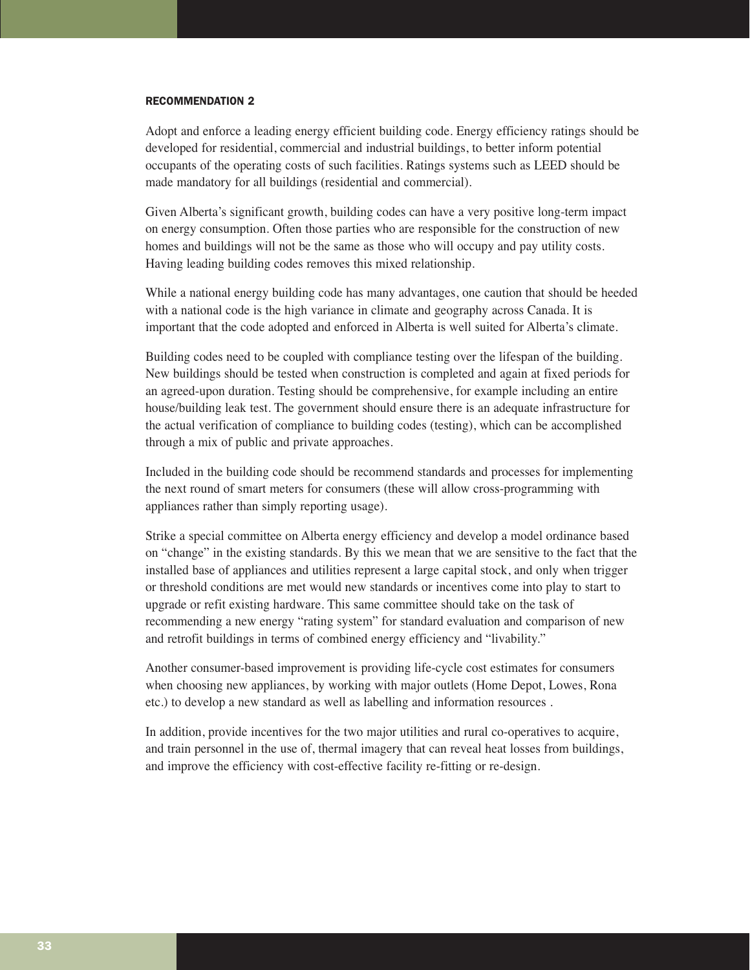#### RECOMMENDATION 2

Adopt and enforce a leading energy efficient building code. Energy efficiency ratings should be developed for residential, commercial and industrial buildings, to better inform potential occupants of the operating costs of such facilities. Ratings systems such as LEED should be made mandatory for all buildings (residential and commercial).

Given Alberta's significant growth, building codes can have a very positive long-term impact on energy consumption. Often those parties who are responsible for the construction of new homes and buildings will not be the same as those who will occupy and pay utility costs. Having leading building codes removes this mixed relationship.

While a national energy building code has many advantages, one caution that should be heeded with a national code is the high variance in climate and geography across Canada. It is important that the code adopted and enforced in Alberta is well suited for Alberta's climate.

Building codes need to be coupled with compliance testing over the lifespan of the building. New buildings should be tested when construction is completed and again at fixed periods for an agreed-upon duration. Testing should be comprehensive, for example including an entire house/building leak test. The government should ensure there is an adequate infrastructure for the actual verification of compliance to building codes (testing), which can be accomplished through a mix of public and private approaches.

Included in the building code should be recommend standards and processes for implementing the next round of smart meters for consumers (these will allow cross-programming with appliances rather than simply reporting usage).

Strike a special committee on Alberta energy efficiency and develop a model ordinance based on "change" in the existing standards. By this we mean that we are sensitive to the fact that the installed base of appliances and utilities represent a large capital stock, and only when trigger or threshold conditions are met would new standards or incentives come into play to start to upgrade or refit existing hardware. This same committee should take on the task of recommending a new energy "rating system" for standard evaluation and comparison of new and retrofit buildings in terms of combined energy efficiency and "livability."

Another consumer-based improvement is providing life-cycle cost estimates for consumers when choosing new appliances, by working with major outlets (Home Depot, Lowes, Rona etc.) to develop a new standard as well as labelling and information resources .

In addition, provide incentives for the two major utilities and rural co-operatives to acquire, and train personnel in the use of, thermal imagery that can reveal heat losses from buildings, and improve the efficiency with cost-effective facility re-fitting or re-design.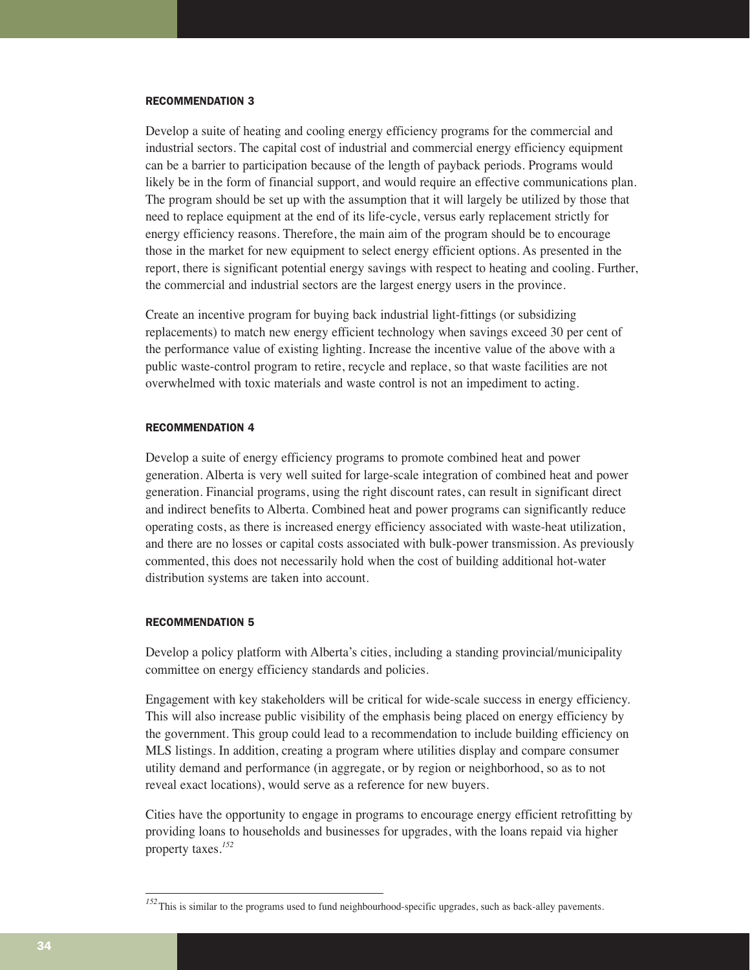#### RECOMMENDATION 3

Develop a suite of heating and cooling energy efficiency programs for the commercial and industrial sectors. The capital cost of industrial and commercial energy efficiency equipment can be a barrier to participation because of the length of payback periods. Programs would likely be in the form of financial support, and would require an effective communications plan. The program should be set up with the assumption that it will largely be utilized by those that need to replace equipment at the end of its life-cycle, versus early replacement strictly for energy efficiency reasons. Therefore, the main aim of the program should be to encourage those in the market for new equipment to select energy efficient options. As presented in the report, there is significant potential energy savings with respect to heating and cooling. Further, the commercial and industrial sectors are the largest energy users in the province.

Create an incentive program for buying back industrial light-fittings (or subsidizing replacements) to match new energy efficient technology when savings exceed 30 per cent of the performance value of existing lighting. Increase the incentive value of the above with a public waste-control program to retire, recycle and replace, so that waste facilities are not overwhelmed with toxic materials and waste control is not an impediment to acting.

#### RECOMMENDATION 4

Develop a suite of energy efficiency programs to promote combined heat and power generation. Alberta is very well suited for large-scale integration of combined heat and power generation. Financial programs, using the right discount rates, can result in significant direct and indirect benefits to Alberta. Combined heat and power programs can significantly reduce operating costs, as there is increased energy efficiency associated with waste-heat utilization, and there are no losses or capital costs associated with bulk-power transmission. As previously commented, this does not necessarily hold when the cost of building additional hot-water distribution systems are taken into account.

### RECOMMENDATION 5

Develop a policy platform with Alberta's cities, including a standing provincial/municipality committee on energy efficiency standards and policies.

Engagement with key stakeholders will be critical for wide-scale success in energy efficiency. This will also increase public visibility of the emphasis being placed on energy efficiency by the government. This group could lead to a recommendation to include building efficiency on MLS listings. In addition, creating a program where utilities display and compare consumer utility demand and performance (in aggregate, or by region or neighborhood, so as to not reveal exact locations), would serve as a reference for new buyers.

Cities have the opportunity to engage in programs to encourage energy efficient retrofitting by providing loans to households and businesses for upgrades, with the loans repaid via higher property taxes.*<sup>152</sup>*

*<sup>152</sup>*This is similar to the programs used to fund neighbourhood-specific upgrades, such as back-alley pavements.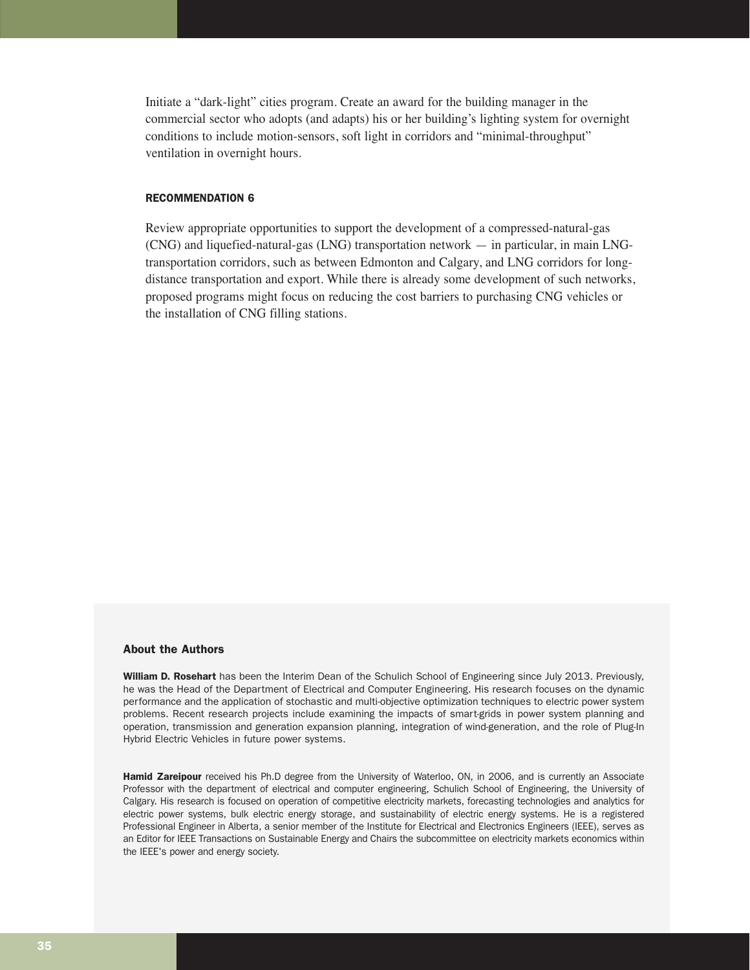Initiate a "dark-light" cities program. Create an award for the building manager in the commercial sector who adopts (and adapts) his or her building's lighting system for overnight conditions to include motion-sensors, soft light in corridors and "minimal-throughput" ventilation in overnight hours.

## RECOMMENDATION 6

Review appropriate opportunities to support the development of a compressed-natural-gas (CNG) and liquefied-natural-gas (LNG) transportation network — in particular, in main LNGtransportation corridors, such as between Edmonton and Calgary, and LNG corridors for longdistance transportation and export. While there is already some development of such networks, proposed programs might focus on reducing the cost barriers to purchasing CNG vehicles or the installation of CNG filling stations.

#### About the Authors

William D. Rosehart has been the Interim Dean of the Schulich School of Engineering since July 2013. Previously, he was the Head of the Department of Electrical and Computer Engineering. His research focuses on the dynamic performance and the application of stochastic and multi-objective optimization techniques to electric power system problems. Recent research projects include examining the impacts of smart-grids in power system planning and operation, transmission and generation expansion planning, integration of wind-generation, and the role of Plug-In Hybrid Electric Vehicles in future power systems.

Hamid Zareipour received his Ph.D degree from the University of Waterloo, ON, in 2006, and is currently an Associate Professor with the department of electrical and computer engineering, Schulich School of Engineering, the University of Calgary. His research is focused on operation of competitive electricity markets, forecasting technologies and analytics for electric power systems, bulk electric energy storage, and sustainability of electric energy systems. He is a registered Professional Engineer in Alberta, a senior member of the Institute for Electrical and Electronics Engineers (IEEE), serves as an Editor for IEEE Transactions on Sustainable Energy and Chairs the subcommittee on electricity markets economics within the IEEE's power and energy society.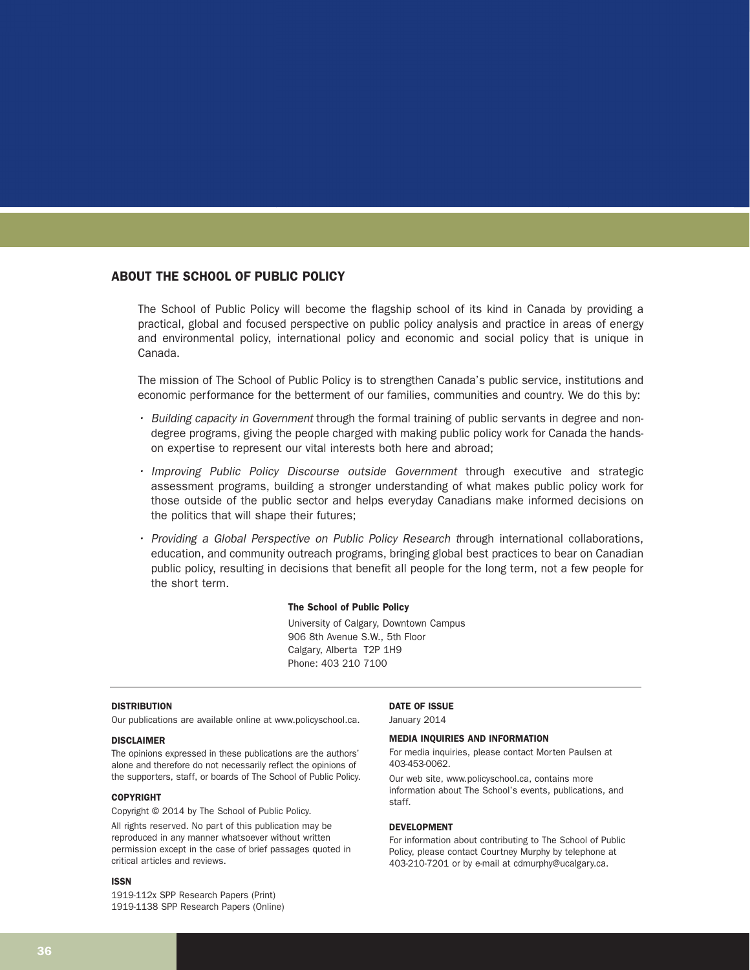## ABOUT THE SCHOOL OF PUBLIC POLICY

The School of Public Policy will become the flagship school of its kind in Canada by providing a practical, global and focused perspective on public policy analysis and practice in areas of energy and environmental policy, international policy and economic and social policy that is unique in Canada.

The mission of The School of Public Policy is to strengthen Canada's public service, institutions and economic performance for the betterment of our families, communities and country. We do this by:

- Building capacity in Government through the formal training of public servants in degree and nondegree programs, giving the people charged with making public policy work for Canada the handson expertise to represent our vital interests both here and abroad;
- Improving Public Policy Discourse outside Government through executive and strategic assessment programs, building a stronger understanding of what makes public policy work for those outside of the public sector and helps everyday Canadians make informed decisions on the politics that will shape their futures;
- Providing a Global Perspective on Public Policy Research through international collaborations, education, and community outreach programs, bringing global best practices to bear on Canadian public policy, resulting in decisions that benefit all people for the long term, not a few people for the short term.

#### The School of Public Policy

University of Calgary, Downtown Campus 906 8th Avenue S.W., 5th Floor Calgary, Alberta T2P 1H9 Phone: 403 210 7100

#### **DISTRIBUTION**

Our publications are available online at www.policyschool.ca.

#### DISCLAIMER

The opinions expressed in these publications are the authors' alone and therefore do not necessarily reflect the opinions of the supporters, staff, or boards of The School of Public Policy.

#### COPYRIGHT

Copyright © 2014 by The School of Public Policy.

All rights reserved. No part of this publication may be reproduced in any manner whatsoever without written permission except in the case of brief passages quoted in critical articles and reviews.

#### ISSN

1919-112x SPP Research Papers (Print) 1919-1138 SPP Research Papers (Online)

#### DATE OF ISSUE

January 2014

#### MEDIA INQUIRIES AND INFORMATION

For media inquiries, please contact Morten Paulsen at 403-453-0062.

Our web site, www.policyschool.ca, contains more information about The School's events, publications, and staff.

#### DEVELOPMENT

For information about contributing to The School of Public Policy, please contact Courtney Murphy by telephone at 403-210-7201 or by e-mail at cdmurphy@ucalgary.ca.